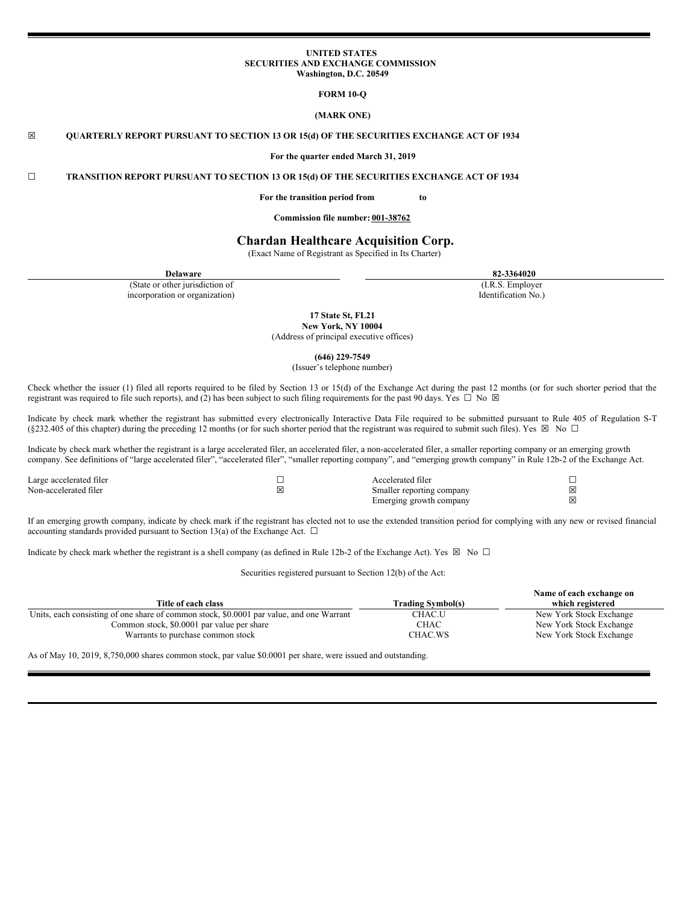#### **UNITED STATES SECURITIES AND EXCHANGE COMMISSION Washington, D.C. 20549**

**FORM 10-Q**

#### **(MARK ONE)**

## ☒ **QUARTERLY REPORT PURSUANT TO SECTION 13 OR 15(d) OF THE SECURITIES EXCHANGE ACT OF 1934**

**For the quarter ended March 31, 2019**

☐ **TRANSITION REPORT PURSUANT TO SECTION 13 OR 15(d) OF THE SECURITIES EXCHANGE ACT OF 1934**

**For the transition period from to**

**Commission file number: 001-38762**

## **Chardan Healthcare Acquisition Corp.**

(Exact Name of Registrant as Specified in Its Charter)

(State or other jurisdiction of incorporation or organization)

**Delaware 82-3364020**

(I.R.S. Employer Identification No.)

**17 State St, FL21 New York, NY 10004**

(Address of principal executive offices)

**(646) 229-7549**

(Issuer's telephone number)

Check whether the issuer (1) filed all reports required to be filed by Section 13 or 15(d) of the Exchange Act during the past 12 months (or for such shorter period that the registrant was required to file such reports), and (2) has been subject to such filing requirements for the past 90 days. Yes  $\Box$  No  $\boxtimes$ 

Indicate by check mark whether the registrant has submitted every electronically Interactive Data File required to be submitted pursuant to Rule 405 of Regulation S-T (§232.405 of this chapter) during the preceding 12 months (or for such shorter period that the registrant was required to submit such files). Yes ⊠ No □

Indicate by check mark whether the registrant is a large accelerated filer, an accelerated filer, a mon-accelerated filer, a smaller reporting company or an emerging growth company. See definitions of "large accelerated filer", "accelerated filer", "smaller reporting company", and "emerging growth company" in Rule 12b-2 of the Exchange Act.

Large accelerated filer ☐ Accelerated filer ☐ Non-accelerated filer <br>
⊠ Smaller reporting company ⊠<br>
Emerging growth company ⊠

If an emerging growth company, indicate by check mark if the registrant has elected not to use the extended transition period for complying with any new or revised financial accounting standards provided pursuant to Section 13(a) of the Exchange Act.  $\Box$ 

Indicate by check mark whether the registrant is a shell company (as defined in Rule 12b-2 of the Exchange Act). Yes  $\boxtimes$  No  $\Box$ 

Securities registered pursuant to Section 12(b) of the Act:

|                                                                                          |                          | Name of each exchange on |
|------------------------------------------------------------------------------------------|--------------------------|--------------------------|
| Title of each class                                                                      | <b>Trading Symbol(s)</b> | which registered         |
| Units, each consisting of one share of common stock, \$0,0001 par value, and one Warrant | CHAC.U                   | New York Stock Exchange  |
| Common stock, \$0.0001 par value per share                                               | CHAC                     | New York Stock Exchange  |
| Warrants to purchase common stock                                                        | CHAC.WS                  | New York Stock Exchange  |

As of May 10, 2019, 8,750,000 shares common stock, par value \$0.0001 per share, were issued and outstanding.

Emerging growth company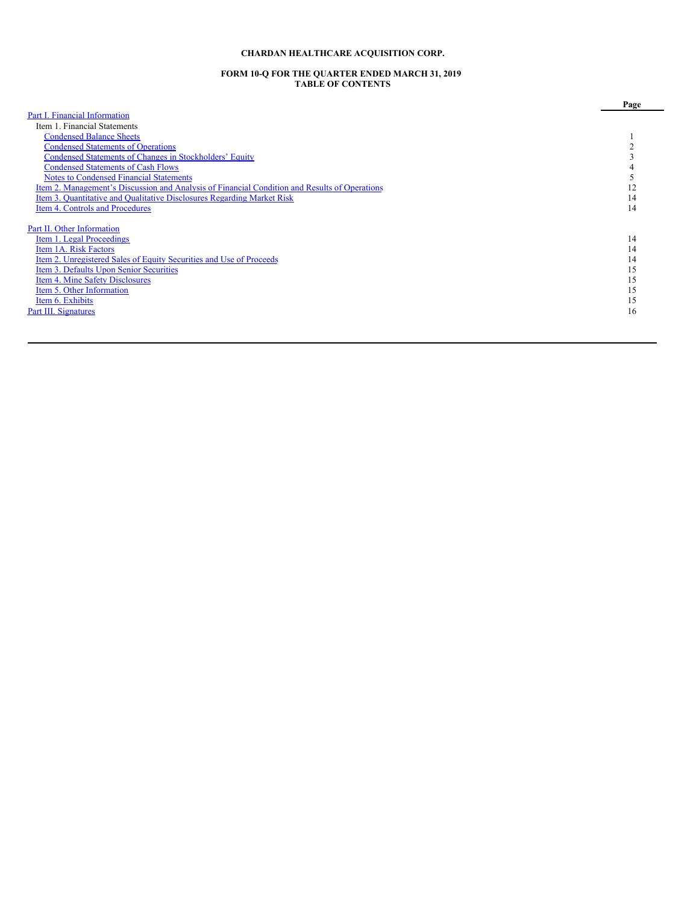# **CHARDAN HEALTHCARE ACQUISITION CORP.**

#### **FORM 10-Q FOR THE QUARTER ENDED MARCH 31, 2019 TABLE OF CONTENTS**

|                                                                                               | Page |
|-----------------------------------------------------------------------------------------------|------|
| Part I. Financial Information                                                                 |      |
| Item 1. Financial Statements                                                                  |      |
| <b>Condensed Balance Sheets</b>                                                               |      |
| <b>Condensed Statements of Operations</b>                                                     |      |
| <b>Condensed Statements of Changes in Stockholders' Equity</b>                                |      |
| <b>Condensed Statements of Cash Flows</b>                                                     |      |
| <b>Notes to Condensed Financial Statements</b>                                                |      |
| Item 2. Management's Discussion and Analysis of Financial Condition and Results of Operations |      |
| Item 3. Quantitative and Qualitative Disclosures Regarding Market Risk                        | 14   |
| Item 4. Controls and Procedures                                                               | 14   |
| Part II. Other Information                                                                    |      |
| Item 1. Legal Proceedings                                                                     | 14   |
| Item 1A. Risk Factors                                                                         | 14   |
| Item 2. Unregistered Sales of Equity Securities and Use of Proceeds                           | 14   |
| Item 3. Defaults Upon Senior Securities                                                       | 15   |
| Item 4. Mine Safety Disclosures                                                               | 15   |
| Item 5. Other Information                                                                     | 15   |
| Item 6. Exhibits                                                                              | 15   |
| Part III. Signatures                                                                          | 16   |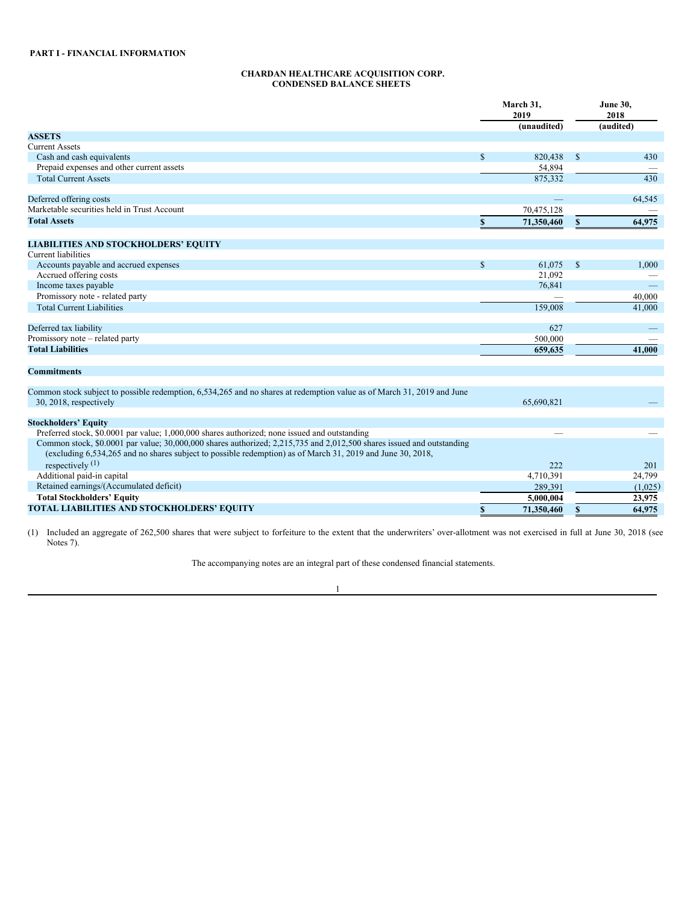## <span id="page-2-1"></span>**CHARDAN HEALTHCARE ACQUISITION CORP. CONDENSED BALANCE SHEETS**

<span id="page-2-0"></span>

|                                                                                                                                                                                                                                     |              | March 31,<br>2019 |              | <b>June 30,</b><br>2018 |
|-------------------------------------------------------------------------------------------------------------------------------------------------------------------------------------------------------------------------------------|--------------|-------------------|--------------|-------------------------|
|                                                                                                                                                                                                                                     |              | (unaudited)       |              | (audited)               |
| <b>ASSETS</b>                                                                                                                                                                                                                       |              |                   |              |                         |
| <b>Current Assets</b>                                                                                                                                                                                                               |              |                   |              |                         |
| Cash and cash equivalents                                                                                                                                                                                                           | $\mathbf S$  | 820,438           | $\mathbf{s}$ | 430                     |
| Prepaid expenses and other current assets                                                                                                                                                                                           |              | 54,894            |              |                         |
| <b>Total Current Assets</b>                                                                                                                                                                                                         |              | 875,332           |              | 430                     |
| Deferred offering costs                                                                                                                                                                                                             |              | $\frac{1}{2}$     |              | 64,545                  |
| Marketable securities held in Trust Account                                                                                                                                                                                         |              | 70,475,128        |              |                         |
| <b>Total Assets</b>                                                                                                                                                                                                                 | \$           | 71,350,460        |              | 64,975                  |
| <b>LIABILITIES AND STOCKHOLDERS' EQUITY</b>                                                                                                                                                                                         |              |                   |              |                         |
| <b>Current liabilities</b>                                                                                                                                                                                                          |              |                   |              |                         |
| Accounts payable and accrued expenses                                                                                                                                                                                               | $\mathbb{S}$ | 61,075            | $\mathbb{S}$ | 1,000                   |
| Accrued offering costs                                                                                                                                                                                                              |              | 21,092            |              |                         |
| Income taxes payable                                                                                                                                                                                                                |              | 76,841            |              |                         |
| Promissory note - related party                                                                                                                                                                                                     |              |                   |              | 40,000                  |
| <b>Total Current Liabilities</b>                                                                                                                                                                                                    |              | 159,008           |              | 41,000                  |
| Deferred tax liability                                                                                                                                                                                                              |              | 627               |              |                         |
| Promissory note - related party                                                                                                                                                                                                     |              | 500,000           |              |                         |
| <b>Total Liabilities</b>                                                                                                                                                                                                            |              | 659,635           |              | 41.000                  |
| <b>Commitments</b>                                                                                                                                                                                                                  |              |                   |              |                         |
|                                                                                                                                                                                                                                     |              |                   |              |                         |
| Common stock subject to possible redemption, 6,534,265 and no shares at redemption value as of March 31, 2019 and June                                                                                                              |              |                   |              |                         |
| 30, 2018, respectively                                                                                                                                                                                                              |              | 65,690,821        |              |                         |
| <b>Stockholders' Equity</b>                                                                                                                                                                                                         |              |                   |              |                         |
| Preferred stock, \$0.0001 par value; 1,000,000 shares authorized; none issued and outstanding                                                                                                                                       |              |                   |              |                         |
| Common stock, \$0.0001 par value; 30,000,000 shares authorized; 2,215,735 and 2,012,500 shares issued and outstanding<br>(excluding 6,534,265 and no shares subject to possible redemption) as of March 31, 2019 and June 30, 2018, |              |                   |              |                         |
| respectively $(1)$                                                                                                                                                                                                                  |              | 222               |              | 201                     |
| Additional paid-in capital                                                                                                                                                                                                          |              | 4,710,391         |              | 24,799                  |
| Retained earnings/(Accumulated deficit)                                                                                                                                                                                             |              | 289,391           |              | (1,025)                 |
| <b>Total Stockholders' Equity</b>                                                                                                                                                                                                   |              | 5,000,004         |              | 23,975                  |
| TOTAL LIABILITIES AND STOCKHOLDERS' EQUITY                                                                                                                                                                                          | \$           | 71,350,460        | S            | 64,975                  |

(1) Included an aggregate of 262,500 shares that were subject to forfeiture to the extent that the underwriters' over-allotment was not exercised in full at June 30, 2018 (see Notes 7).

The accompanying notes are an integral part of these condensed financial statements.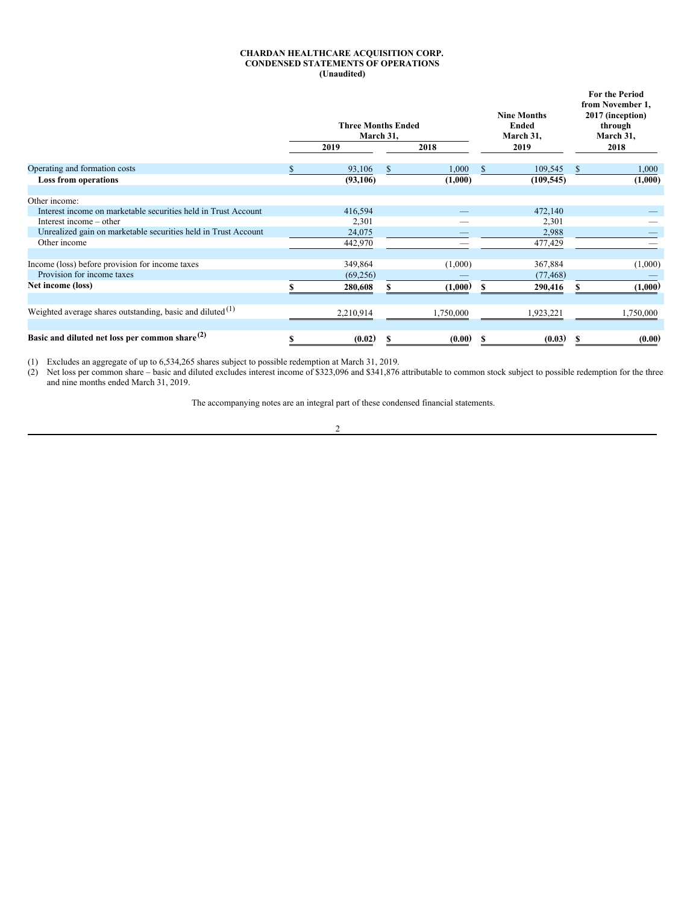## <span id="page-3-0"></span>**CHARDAN HEALTHCARE ACQUISITION CORP. CONDENSED STATEMENTS OF OPERATIONS (Unaudited)**

|                                                                | <b>Three Months Ended</b><br>March 31, |           | <b>Nine Months</b><br><b>Ended</b><br>March 31, |  | For the Period<br>from November 1,<br>2017 (inception)<br>through<br>March 31, |
|----------------------------------------------------------------|----------------------------------------|-----------|-------------------------------------------------|--|--------------------------------------------------------------------------------|
|                                                                | 2019                                   | 2018      | 2019                                            |  | 2018                                                                           |
| Operating and formation costs                                  | 93,106                                 | 1,000     | 109,545                                         |  | 1,000                                                                          |
| <b>Loss from operations</b>                                    | (93, 106)                              | (1,000)   | (109, 545)                                      |  | (1,000)                                                                        |
| Other income:                                                  |                                        |           |                                                 |  |                                                                                |
| Interest income on marketable securities held in Trust Account | 416,594                                |           | 472,140                                         |  |                                                                                |
| Interest income – other                                        | 2,301                                  |           | 2,301                                           |  |                                                                                |
| Unrealized gain on marketable securities held in Trust Account | 24,075                                 |           | 2,988                                           |  |                                                                                |
| Other income                                                   | 442,970                                |           | 477,429                                         |  |                                                                                |
| Income (loss) before provision for income taxes                | 349,864                                | (1,000)   | 367,884                                         |  | (1,000)                                                                        |
| Provision for income taxes                                     | (69, 256)                              |           | (77, 468)                                       |  |                                                                                |
| Net income (loss)                                              | 280,608                                | (1,000)   | 290,416                                         |  | (1,000)                                                                        |
| Weighted average shares outstanding, basic and diluted $(1)$   | 2,210,914                              | 1,750,000 | 1,923,221                                       |  | 1,750,000                                                                      |
| Basic and diluted net loss per common share <sup>(2)</sup>     | (0.02)                                 | (0.00)    | (0.03)                                          |  | (0.00)                                                                         |

(1) Excludes an aggregate of up to 6,534,265 shares subject to possible redemption at March 31, 2019.

(2) Net loss per common share – basic and diluted excludes interest income of \$323,096 and \$341,876 attributable to common stock subject to possible redemption for the three and nine months ended March 31, 2019.

The accompanying notes are an integral part of these condensed financial statements.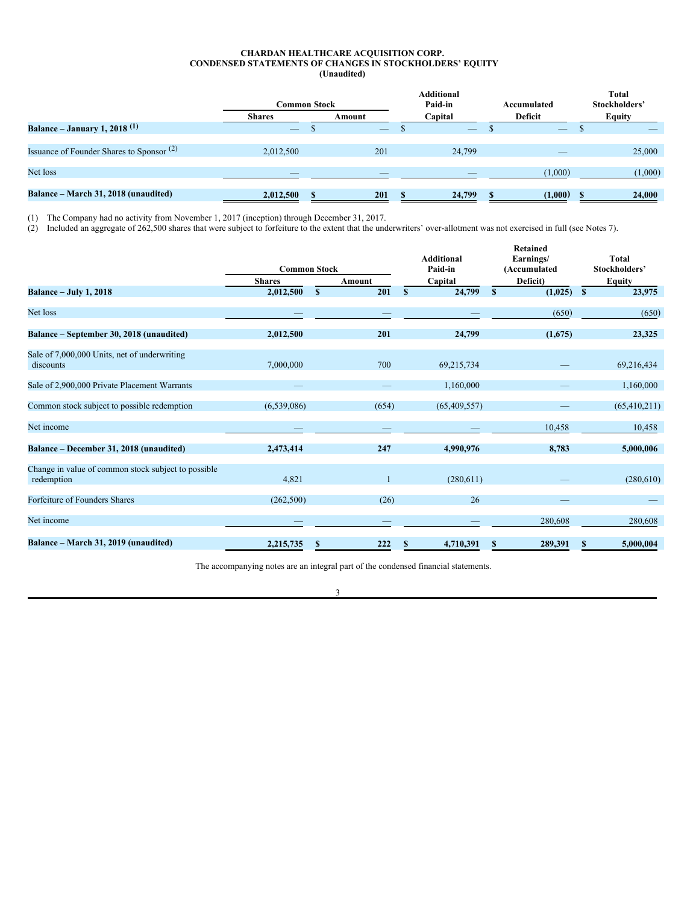## <span id="page-4-0"></span>**CHARDAN HEALTHCARE ACQUISITION CORP. CONDENSED STATEMENTS OF CHANGES IN STOCKHOLDERS' EQUITY (Unaudited)**

|                                                      | <b>Common Stock</b>      |                          | <b>Additional</b><br>Paid-in | Accumulated              | Total<br>Stockholders' |
|------------------------------------------------------|--------------------------|--------------------------|------------------------------|--------------------------|------------------------|
|                                                      | <b>Shares</b>            | Amount                   | Capital                      | Deficit                  | <b>Equity</b>          |
| Balance – January 1, 2018 $(1)$                      | $\overline{\phantom{a}}$ | $\overline{\phantom{a}}$ | $-$                          | $\overline{\phantom{a}}$ |                        |
|                                                      |                          |                          |                              |                          |                        |
| Issuance of Founder Shares to Sponsor <sup>(2)</sup> | 2,012,500                | 201                      | 24,799                       | $-$                      | 25,000                 |
|                                                      |                          |                          |                              |                          |                        |
| Net loss                                             |                          |                          |                              | (1,000)                  | (1,000)                |
|                                                      |                          |                          |                              |                          |                        |
| Balance – March 31, 2018 (unaudited)                 | 2,012,500                | 201                      | 24,799                       | (1,000)                  | 24,000                 |

(1) The Company had no activity from November 1, 2017 (inception) through December 31, 2017.

(2) Included an aggregate of 262,500 shares that were subject to forfeiture to the extent that the underwriters' over-allotment was not exercised in full (see Notes 7).

|                                                                   | <b>Common Stock</b> |                     | <b>Additional</b><br>Paid-in | Retained<br>Earnings/<br>(Accumulated | <b>Total</b><br>Stockholders' |  |
|-------------------------------------------------------------------|---------------------|---------------------|------------------------------|---------------------------------------|-------------------------------|--|
|                                                                   | <b>Shares</b>       | Amount              | Capital                      | Deficit)                              | <b>Equity</b>                 |  |
| <b>Balance - July 1, 2018</b>                                     | 2,012,500           | 201<br>$\mathbf{s}$ | 24,799<br>$\mathbf{s}$       | (1,025)<br>$\mathbf{s}$               | 23,975<br>$\mathbf{s}$        |  |
| Net loss                                                          |                     |                     |                              | (650)                                 | (650)                         |  |
| Balance – September 30, 2018 (unaudited)                          | 2,012,500           | 201                 | 24,799                       | (1,675)                               | 23,325                        |  |
| Sale of 7,000,000 Units, net of underwriting<br>discounts         | 7,000,000           | 700                 | 69,215,734                   |                                       | 69,216,434                    |  |
| Sale of 2,900,000 Private Placement Warrants                      |                     |                     | 1,160,000                    |                                       | 1,160,000                     |  |
| Common stock subject to possible redemption                       | (6,539,086)         | (654)               | (65, 409, 557)               |                                       | (65, 410, 211)                |  |
| Net income                                                        |                     |                     |                              | 10,458                                | 10,458                        |  |
| Balance – December 31, 2018 (unaudited)                           | 2,473,414           | 247                 | 4,990,976                    | 8,783                                 | 5,000,006                     |  |
| Change in value of common stock subject to possible<br>redemption | 4,821               |                     | (280,611)                    |                                       | (280,610)                     |  |
| Forfeiture of Founders Shares                                     | (262, 500)          | (26)                | 26                           |                                       |                               |  |
| Net income                                                        |                     |                     |                              | 280,608                               | 280,608                       |  |
| Balance – March 31, 2019 (unaudited)                              | 2,215,735           | 222<br>S            | 4,710,391<br>S               | 289,391<br>S                          | $\mathbf{s}$<br>5,000,004     |  |

The accompanying notes are an integral part of the condensed financial statements.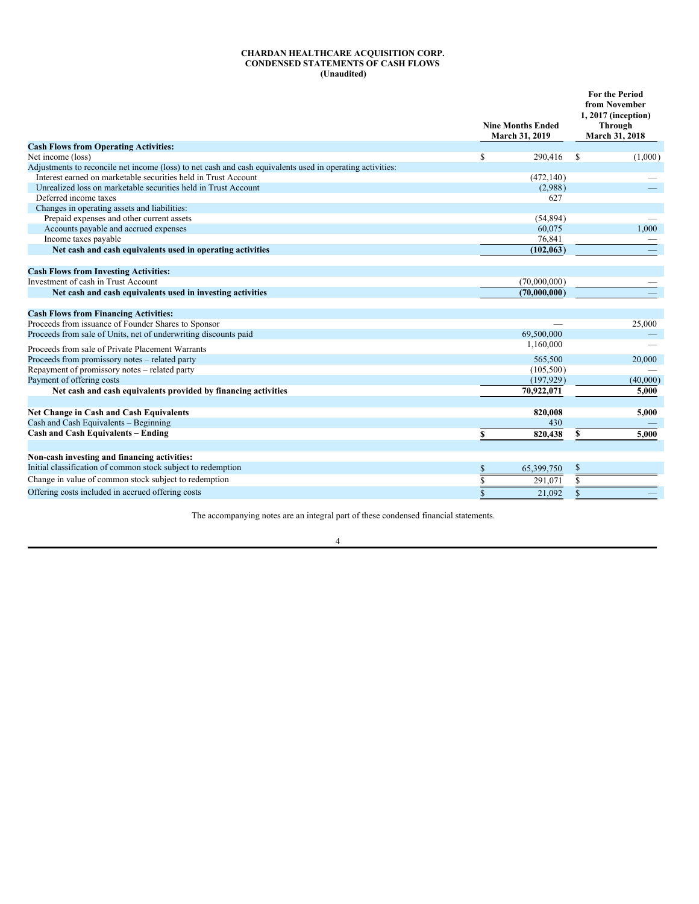#### <span id="page-5-0"></span>**CHARDAN HEALTHCARE ACQUISITION CORP. CONDENSED STATEMENTS OF CASH FLOWS (Unaudited)**

|                                                                                                           |    | <b>Nine Months Ended</b><br>March 31, 2019 |    | <b>For the Period</b><br>from November<br>1, 2017 (inception)<br><b>Through</b><br>March 31, 2018 |
|-----------------------------------------------------------------------------------------------------------|----|--------------------------------------------|----|---------------------------------------------------------------------------------------------------|
| <b>Cash Flows from Operating Activities:</b>                                                              |    |                                            |    |                                                                                                   |
| Net income (loss)                                                                                         | \$ | 290,416                                    | -S | (1,000)                                                                                           |
| Adjustments to reconcile net income (loss) to net cash and cash equivalents used in operating activities: |    |                                            |    |                                                                                                   |
| Interest earned on marketable securities held in Trust Account                                            |    | (472, 140)                                 |    |                                                                                                   |
| Unrealized loss on marketable securities held in Trust Account                                            |    | (2,988)                                    |    |                                                                                                   |
| Deferred income taxes                                                                                     |    | 627                                        |    |                                                                                                   |
| Changes in operating assets and liabilities:                                                              |    |                                            |    |                                                                                                   |
| Prepaid expenses and other current assets                                                                 |    | (54, 894)                                  |    |                                                                                                   |
| Accounts payable and accrued expenses                                                                     |    | 60,075                                     |    | 1.000                                                                                             |
| Income taxes payable                                                                                      |    | 76,841                                     |    |                                                                                                   |
| Net cash and cash equivalents used in operating activities                                                |    | (102, 063)                                 |    |                                                                                                   |
| <b>Cash Flows from Investing Activities:</b>                                                              |    |                                            |    |                                                                                                   |
| Investment of cash in Trust Account                                                                       |    | (70,000,000)                               |    |                                                                                                   |
| Net cash and cash equivalents used in investing activities                                                |    | (70,000,000)                               |    |                                                                                                   |
| <b>Cash Flows from Financing Activities:</b>                                                              |    |                                            |    |                                                                                                   |
| Proceeds from issuance of Founder Shares to Sponsor                                                       |    |                                            |    | 25,000                                                                                            |
| Proceeds from sale of Units, net of underwriting discounts paid                                           |    | 69,500,000                                 |    |                                                                                                   |
| Proceeds from sale of Private Placement Warrants                                                          |    | 1,160,000                                  |    |                                                                                                   |
| Proceeds from promissory notes – related party                                                            |    | 565,500                                    |    | 20,000                                                                                            |
| Repayment of promissory notes - related party                                                             |    | (105,500)                                  |    |                                                                                                   |
| Payment of offering costs                                                                                 |    | (197, 929)                                 |    | (40,000)                                                                                          |
| Net cash and cash equivalents provided by financing activities                                            |    | 70,922,071                                 |    | 5,000                                                                                             |
|                                                                                                           |    |                                            |    |                                                                                                   |
| Net Change in Cash and Cash Equivalents                                                                   |    | 820,008                                    |    | 5,000                                                                                             |
| Cash and Cash Equivalents - Beginning                                                                     |    | 430                                        |    |                                                                                                   |
| <b>Cash and Cash Equivalents - Ending</b>                                                                 | \$ | 820,438                                    | S  | 5.000                                                                                             |
|                                                                                                           |    |                                            |    |                                                                                                   |
| Non-cash investing and financing activities:                                                              |    |                                            |    |                                                                                                   |
| Initial classification of common stock subject to redemption                                              | S  | 65,399,750                                 | \$ |                                                                                                   |
| Change in value of common stock subject to redemption                                                     | S. | 291,071                                    |    |                                                                                                   |
| Offering costs included in accrued offering costs                                                         |    | 21.092                                     |    |                                                                                                   |

The accompanying notes are an integral part of these condensed financial statements.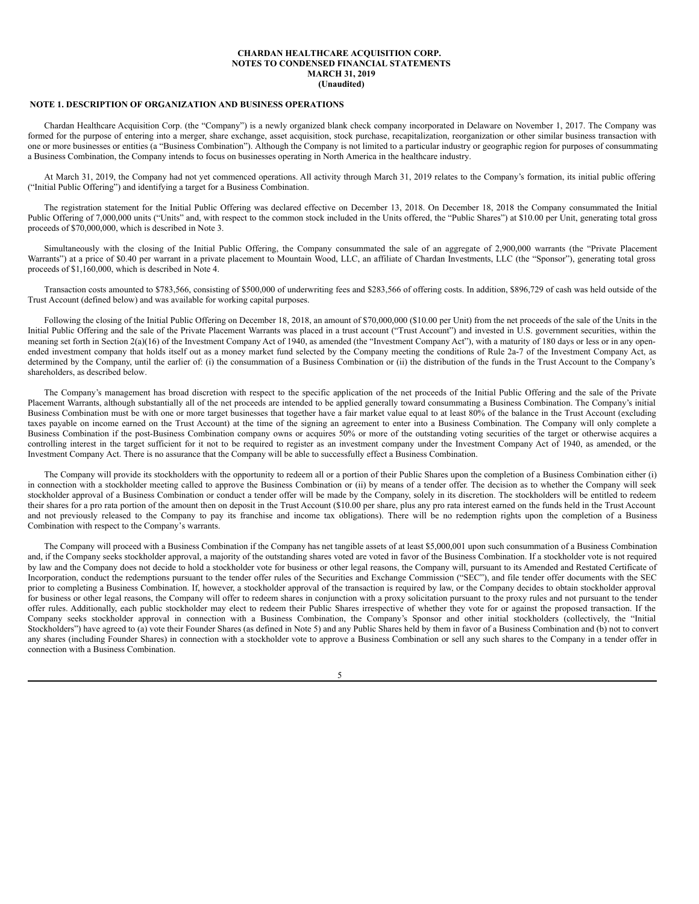#### <span id="page-6-0"></span>**NOTE 1. DESCRIPTION OF ORGANIZATION AND BUSINESS OPERATIONS**

Chardan Healthcare Acquisition Corp. (the "Company") is a newly organized blank check company incorporated in Delaware on November 1, 2017. The Company was formed for the purpose of entering into a merger, share exchange, asset acquisition, stock purchase, recapitalization, reorganization or other similar business transaction with one or more businesses or entities (a "Business Combination"). Although the Company is not limited to a particular industry or geographic region for purposes of consummating a Business Combination, the Company intends to focus on businesses operating in North America in the healthcare industry.

At March 31, 2019, the Company had not yet commenced operations. All activity through March 31, 2019 relates to the Company's formation, its initial public offering ("Initial Public Offering") and identifying a target for a Business Combination.

The registration statement for the Initial Public Offering was declared effective on December 13, 2018. On December 18, 2018 the Company consummated the Initial Public Offering of 7,000,000 units ("Units" and, with respect to the common stock included in the Units offered, the "Public Shares") at \$10.00 per Unit, generating total gross proceeds of \$70,000,000, which is described in Note 3.

Simultaneously with the closing of the Initial Public Offering, the Company consummated the sale of an aggregate of 2,900,000 warrants (the "Private Placement Warrants") at a price of \$0.40 per warrant in a private placement to Mountain Wood, LLC, an affiliate of Chardan Investments, LLC (the "Sponsor"), generating total gross proceeds of \$1,160,000, which is described in Note 4.

Transaction costs amounted to \$783,566, consisting of \$500,000 of underwriting fees and \$283,566 of offering costs. In addition, \$896,729 of cash was held outside of the Trust Account (defined below) and was available for working capital purposes.

Following the closing of the Initial Public Offering on December 18, 2018, an amount of \$70,000,000 (\$10.00 per Unit) from the net proceeds of the sale of the Units in the Initial Public Offering and the sale of the Private Placement Warrants was placed in a trust account ("Trust Account") and invested in U.S. government securities, within the meaning set forth in Section 2(a)(16) of the Investment Company Act of 1940, as amended (the "Investment Company Act"), with a maturity of 180 days or less or in any openended investment company that holds itself out as a money market fund selected by the Company meeting the conditions of Rule 2a-7 of the Investment Company Act, as determined by the Company, until the earlier of: (i) the consummation of a Business Combination or (ii) the distribution of the funds in the Trust Account to the Company's shareholders, as described below.

The Company's management has broad discretion with respect to the specific application of the net proceeds of the Initial Public Offering and the sale of the Private Placement Warrants, although substantially all of the net proceeds are intended to be applied generally toward consummating a Business Combination. The Company's initial Business Combination must be with one or more target businesses that together have a fair market value equal to at least 80% of the balance in the Trust Account (excluding taxes payable on income earned on the Trust Account) at the time of the signing an agreement to enter into a Business Combination. The Company will only complete a Business Combination if the post-Business Combination company owns or acquires 50% or more of the outstanding voting securities of the target or otherwise acquires a controlling interest in the target sufficient for it not to be required to register as an investment company under the Investment Company Act of 1940, as amended, or the Investment Company Act. There is no assurance that the Company will be able to successfully effect a Business Combination.

The Company will provide its stockholders with the opportunity to redeem all or a portion of their Public Shares upon the completion of a Business Combination either (i) in connection with a stockholder meeting called to approve the Business Combination or (ii) by means of a tender offer. The decision as to whether the Company will seek stockholder approval of a Business Combination or conduct a tender offer will be made by the Company, solely in its discretion. The stockholders will be entitled to redeem their shares for a pro rata portion of the amount then on deposit in the Trust Account (\$10.00 per share, plus any pro rata interest earned on the funds held in the Trust Account and not previously released to the Company to pay its franchise and income tax obligations). There will be no redemption rights upon the completion of a Business Combination with respect to the Company's warrants.

The Company will proceed with a Business Combination if the Company has net tangible assets of at least \$5,000,001 upon such consummation of a Business Combination and, if the Company seeks stockholder approval, a majority of the outstanding shares voted are voted in favor of the Business Combination. If a stockholder vote is not required by law and the Company does not decide to hold a stockholder vote for business or other legal reasons, the Company will, pursuant to its Amended and Restated Certificate of Incorporation, conduct the redemptions pursuant to the tender offer rules of the Securities and Exchange Commission ("SEC"), and file tender offer documents with the SEC prior to completing a Business Combination. If, however, a stockholder approval of the transaction is required by law, or the Company decides to obtain stockholder approval for business or other legal reasons, the Company will offer to redeem shares in conjunction with a proxy solicitation pursuant to the proxy rules and not pursuant to the tender offer rules. Additionally, each public stockholder may elect to redeem their Public Shares irrespective of whether they vote for or against the proposed transaction. If the Company seeks stockholder approval in connection with a Business Combination, the Company's Sponsor and other initial stockholders (collectively, the "Initial Stockholders") have agreed to (a) vote their Founder Shares (as defined in Note 5) and any Public Shares held by them in favor of a Business Combination and (b) not to convert any shares (including Founder Shares) in connection with a stockholder vote to approve a Business Combination or sell any such shares to the Company in a tender offer in connection with a Business Combination.

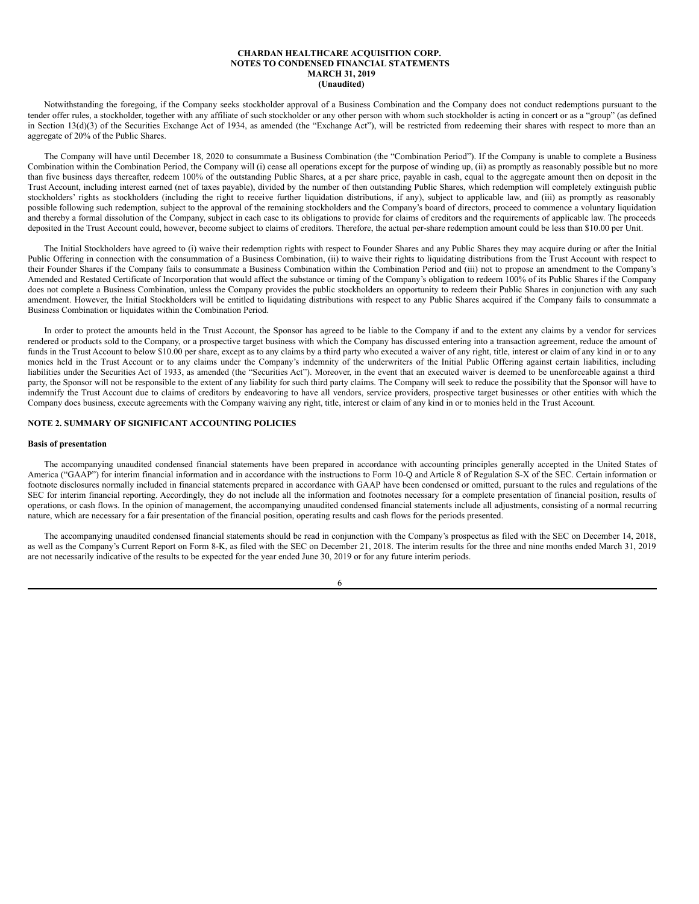Notwithstanding the foregoing, if the Company seeks stockholder approval of a Business Combination and the Company does not conduct redemptions pursuant to the tender offer rules, a stockholder, together with any affiliate of such stockholder or any other person with whom such stockholder is acting in concert or as a "group" (as defined in Section 13(d)(3) of the Securities Exchange Act of 1934, as amended (the "Exchange Act"), will be restricted from redeeming their shares with respect to more than an aggregate of 20% of the Public Shares.

The Company will have until December 18, 2020 to consummate a Business Combination (the "Combination Period"). If the Company is unable to complete a Business Combination within the Combination Period, the Company will (i) cease all operations except for the purpose of winding up, (ii) as promptly as reasonably possible but no more than five business days thereafter, redeem 100% of the outstanding Public Shares, at a per share price, payable in cash, equal to the aggregate amount then on deposit in the Trust Account, including interest earned (net of taxes payable), divided by the number of then outstanding Public Shares, which redemption will completely extinguish public stockholders' rights as stockholders (including the right to receive further liquidation distributions, if any), subject to applicable law, and (iii) as promptly as reasonably possible following such redemption, subject to the approval of the remaining stockholders and the Company's board of directors, proceed to commence a voluntary liquidation and thereby a formal dissolution of the Company, subject in each case to its obligations to provide for claims of creditors and the requirements of applicable law. The proceeds deposited in the Trust Account could, however, become subject to claims of creditors. Therefore, the actual per-share redemption amount could be less than \$10.00 per Unit.

The Initial Stockholders have agreed to (i) waive their redemption rights with respect to Founder Shares and any Public Shares they may acquire during or after the Initial Public Offering in connection with the consummation of a Business Combination, (ii) to waive their rights to liquidating distributions from the Trust Account with respect to their Founder Shares if the Company fails to consummate a Business Combination within the Combination Period and (iii) not to propose an amendment to the Company's Amended and Restated Certificate of Incorporation that would affect the substance or timing of the Company's obligation to redeem 100% of its Public Shares if the Company does not complete a Business Combination, unless the Company provides the public stockholders an opportunity to redeem their Public Shares in conjunction with any such amendment. However, the Initial Stockholders will be entitled to liquidating distributions with respect to any Public Shares acquired if the Company fails to consummate a Business Combination or liquidates within the Combination Period.

In order to protect the amounts held in the Trust Account, the Sponsor has agreed to be liable to the Company if and to the extent any claims by a vendor for services rendered or products sold to the Company, or a prospective target business with which the Company has discussed entering into a transaction agreement, reduce the amount of funds in the Trust Account to below \$10.00 per share, except as to any claims by a third party who executed a waiver of any right, title, interest or claim of any kind in or to any monies held in the Trust Account or to any claims under the Company's indemnity of the underwriters of the Initial Public Offering against certain liabilities, including liabilities under the Securities Act of 1933, as amended (the "Securities Act"). Moreover, in the event that an executed waiver is deemed to be unenforceable against a third party, the Sponsor will not be responsible to the extent of any liability for such third party claims. The Company will seek to reduce the possibility that the Sponsor will have to indemnify the Trust Account due to claims of creditors by endeavoring to have all vendors, service providers, prospective target businesses or other entities with which the Company does business, execute agreements with the Company waiving any right, title, interest or claim of any kind in or to monies held in the Trust Account.

### **NOTE 2. SUMMARY OF SIGNIFICANT ACCOUNTING POLICIES**

### **Basis of presentation**

The accompanying unaudited condensed financial statements have been prepared in accordance with accounting principles generally accepted in the United States of America ("GAAP") for interim financial information and in accordance with the instructions to Form 10-Q and Article 8 of Regulation S-X of the SEC. Certain information or footnote disclosures normally included in financial statements prepared in accordance with GAAP have been condensed or omitted, pursuant to the rules and regulations of the SEC for interim financial reporting. Accordingly, they do not include all the information and footnotes necessary for a complete presentation of financial position, results of operations, or cash flows. In the opinion of management, the accompanying unaudited condensed financial statements include all adjustments, consisting of a normal recurring nature, which are necessary for a fair presentation of the financial position, operating results and cash flows for the periods presented.

The accompanying unaudited condensed financial statements should be read in conjunction with the Company's prospectus as filed with the SEC on December 14, 2018, as well as the Company's Current Report on Form 8-K, as filed with the SEC on December 21, 2018. The interim results for the three and nine months ended March 31, 2019 are not necessarily indicative of the results to be expected for the year ended June 30, 2019 or for any future interim periods.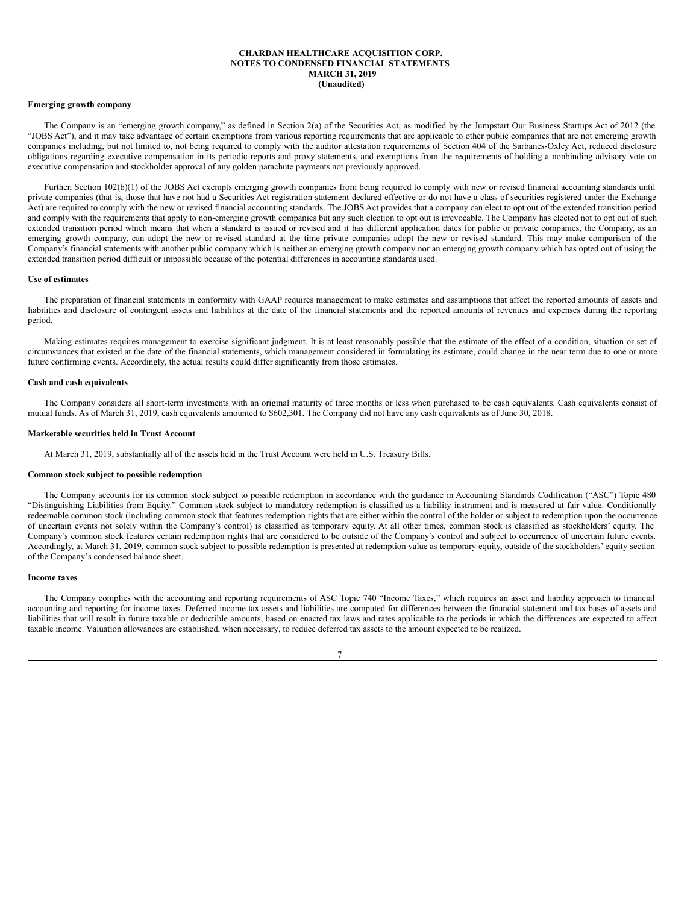### **Emerging growth company**

The Company is an "emerging growth company," as defined in Section 2(a) of the Securities Act, as modified by the Jumpstart Our Business Startups Act of 2012 (the "JOBS Act"), and it may take advantage of certain exemptions from various reporting requirements that are applicable to other public companies that are not emerging growth companies including, but not limited to, not being required to comply with the auditor attestation requirements of Section 404 of the Sarbanes-Oxley Act, reduced disclosure obligations regarding executive compensation in its periodic reports and proxy statements, and exemptions from the requirements of holding a nonbinding advisory vote on executive compensation and stockholder approval of any golden parachute payments not previously approved.

Further, Section 102(b)(1) of the JOBS Act exempts emerging growth companies from being required to comply with new or revised financial accounting standards until private companies (that is, those that have not had a Securities Act registration statement declared effective or do not have a class of securities registered under the Exchange Act) are required to comply with the new or revised financial accounting standards. The JOBS Act provides that a company can elect to opt out of the extended transition period and comply with the requirements that apply to non-emerging growth companies but any such election to opt out is irrevocable. The Company has elected not to opt out of such extended transition period which means that when a standard is issued or revised and it has different application dates for public or private companies, the Company, as an emerging growth company, can adopt the new or revised standard at the time private companies adopt the new or revised standard. This may make comparison of the Company's financial statements with another public company which is neither an emerging growth company nor an emerging growth company which has opted out of using the extended transition period difficult or impossible because of the potential differences in accounting standards used.

#### **Use of estimates**

The preparation of financial statements in conformity with GAAP requires management to make estimates and assumptions that affect the reported amounts of assets and liabilities and disclosure of contingent assets and liabilities at the date of the financial statements and the reported amounts of revenues and expenses during the reporting period.

Making estimates requires management to exercise significant judgment. It is at least reasonably possible that the estimate of the effect of a condition, situation or set of circumstances that existed at the date of the financial statements, which management considered in formulating its estimate, could change in the near term due to one or more future confirming events. Accordingly, the actual results could differ significantly from those estimates.

### **Cash and cash equivalents**

The Company considers all short-term investments with an original maturity of three months or less when purchased to be cash equivalents. Cash equivalents consist of mutual funds. As of March 31, 2019, cash equivalents amounted to \$602,301. The Company did not have any cash equivalents as of June 30, 2018.

#### **Marketable securities held in Trust Account**

At March 31, 2019, substantially all of the assets held in the Trust Account were held in U.S. Treasury Bills.

#### **Common stock subject to possible redemption**

The Company accounts for its common stock subject to possible redemption in accordance with the guidance in Accounting Standards Codification ("ASC") Topic 480 "Distinguishing Liabilities from Equity." Common stock subject to mandatory redemption is classified as a liability instrument and is measured at fair value. Conditionally redeemable common stock (including common stock that features redemption rights that are either within the control of the holder or subject to redemption upon the occurrence of uncertain events not solely within the Company's control) is classified as temporary equity. At all other times, common stock is classified as stockholders' equity. The Company's common stock features certain redemption rights that are considered to be outside of the Company's control and subject to occurrence of uncertain future events. Accordingly, at March 31, 2019, common stock subject to possible redemption is presented at redemption value as temporary equity, outside of the stockholders' equity section of the Company's condensed balance sheet.

#### **Income taxes**

The Company complies with the accounting and reporting requirements of ASC Topic 740 "Income Taxes," which requires an asset and liability approach to financial accounting and reporting for income taxes. Deferred income tax assets and liabilities are computed for differences between the financial statement and tax bases of assets and liabilities that will result in future taxable or deductible amounts, based on enacted tax laws and rates applicable to the periods in which the differences are expected to affect taxable income. Valuation allowances are established, when necessary, to reduce deferred tax assets to the amount expected to be realized.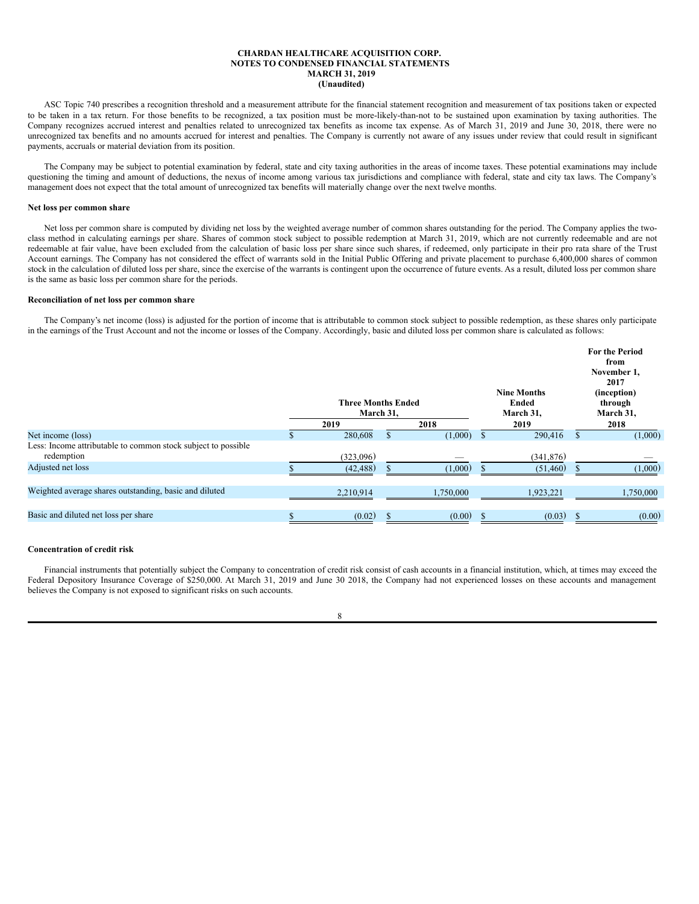ASC Topic 740 prescribes a recognition threshold and a measurement attribute for the financial statement recognition and measurement of tax positions taken or expected to be taken in a tax return. For those benefits to be recognized, a tax position must be more-likely-than-not to be sustained upon examination by taxing authorities. The Company recognizes accrued interest and penalties related to unrecognized tax benefits as income tax expense. As of March 31, 2019 and June 30, 2018, there were no unrecognized tax benefits and no amounts accrued for interest and penalties. The Company is currently not aware of any issues under review that could result in significant payments, accruals or material deviation from its position.

The Company may be subject to potential examination by federal, state and city taxing authorities in the areas of income taxes. These potential examinations may include questioning the timing and amount of deductions, the nexus of income among various tax jurisdictions and compliance with federal, state and city tax laws. The Company's management does not expect that the total amount of unrecognized tax benefits will materially change over the next twelve months.

### **Net loss per common share**

Net loss per common share is computed by dividing net loss by the weighted average number of common shares outstanding for the period. The Company applies the twoclass method in calculating earnings per share. Shares of common stock subject to possible redemption at March 31, 2019, which are not currently redeemable and are not redeemable at fair value, have been excluded from the calculation of basic loss per share since such shares, if redeemed, only participate in their pro rata share of the Trust Account earnings. The Company has not considered the effect of warrants sold in the Initial Public Offering and private placement to purchase 6,400,000 shares of common stock in the calculation of diluted loss per share, since the exercise of the warrants is contingent upon the occurrence of future events. As a result, diluted loss per common share is the same as basic loss per common share for the periods.

#### **Reconciliation of net loss per common share**

The Company's net income (loss) is adjusted for the portion of income that is attributable to common stock subject to possible redemption, as these shares only participate in the earnings of the Trust Account and not the income or losses of the Company. Accordingly, basic and diluted loss per common share is calculated as follows:

|                                                               | <b>Three Months Ended</b><br>March 31, |              | <b>Nine Months</b><br>Ended<br>March 31, | <b>For the Period</b><br>from<br>November 1,<br>2017<br>(inception)<br>through<br>March 31, |
|---------------------------------------------------------------|----------------------------------------|--------------|------------------------------------------|---------------------------------------------------------------------------------------------|
|                                                               | 2019                                   | 2018         | 2019                                     | 2018                                                                                        |
| Net income (loss)                                             | 280,608                                | $(1,000)$ \$ | 290,416                                  | (1,000)                                                                                     |
| Less: Income attributable to common stock subject to possible |                                        |              |                                          |                                                                                             |
| redemption                                                    | (323,096)                              |              | (341, 876)                               |                                                                                             |
| Adjusted net loss                                             | (42, 488)                              | (1,000)      | (51, 460)                                | (1,000)                                                                                     |
|                                                               |                                        |              |                                          |                                                                                             |
| Weighted average shares outstanding, basic and diluted        | 2,210,914                              | 1,750,000    | 1,923,221                                | 1,750,000                                                                                   |
|                                                               |                                        |              |                                          |                                                                                             |
| Basic and diluted net loss per share                          | (0.02)                                 | (0.00)       | (0.03)                                   | (0.00)                                                                                      |
|                                                               |                                        |              |                                          |                                                                                             |

#### **Concentration of credit risk**

Financial instruments that potentially subject the Company to concentration of credit risk consist of cash accounts in a financial institution, which, at times may exceed the Federal Depository Insurance Coverage of \$250,000. At March 31, 2019 and June 30 2018, the Company had not experienced losses on these accounts and management believes the Company is not exposed to significant risks on such accounts.

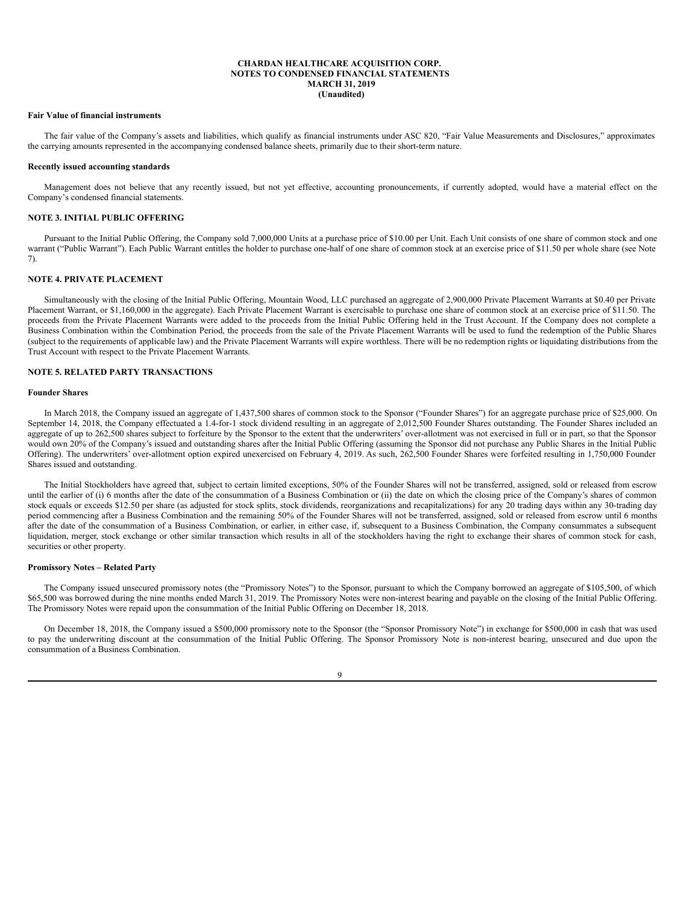## **Fair Value of financial instruments**

The fair value of the Company's assets and liabilities, which qualify as financial instruments under ASC 820, "Fair Value Measurements and Disclosures," approximates the carrying amounts represented in the accompanying condensed balance sheets, primarily due to their short-term nature.

#### **Recently issued accounting standards**

Management does not believe that any recently issued, but not yet effective, accounting pronouncements, if currently adopted, would have a material effect on the Company's condensed financial statements.

### **NOTE 3. INITIAL PUBLIC OFFERING**

Pursuant to the Initial Public Offering, the Company sold 7,000,000 Units at a purchase price of \$10.00 per Unit. Each Unit consists of one share of common stock and one warrant ("Public Warrant"). Each Public Warrant entitles the holder to purchase one-half of one share of common stock at an exercise price of \$11.50 per whole share (see Note 7).

## **NOTE 4. PRIVATE PLACEMENT**

Simultaneously with the closing of the Initial Public Offering, Mountain Wood, LLC purchased an aggregate of 2,900,000 Private Placement Warrants at \$0.40 per Private Placement Warrant, or \$1,160,000 in the aggregate). Each Private Placement Warrant is exercisable to purchase one share of common stock at an exercise price of \$11.50. The proceeds from the Private Placement Warrants were added to the proceeds from the Initial Public Offering held in the Trust Account. If the Company does not complete a Business Combination within the Combination Period, the proceeds from the sale of the Private Placement Warrants will be used to fund the redemption of the Public Shares (subject to the requirements of applicable law) and the Private Placement Warrants will expire worthless. There will be no redemption rights or liquidating distributions from the Trust Account with respect to the Private Placement Warrants.

# **NOTE 5. RELATED PARTY TRANSACTIONS**

### **Founder Shares**

In March 2018, the Company issued an aggregate of 1,437,500 shares of common stock to the Sponsor ("Founder Shares") for an aggregate purchase price of \$25,000. On September 14, 2018, the Company effectuated a 1.4-for-1 stock dividend resulting in an aggregate of 2,012,500 Founder Shares outstanding. The Founder Shares included an aggregate of up to 262,500 shares subject to forfeiture by the Sponsor to the extent that the underwriters' over-allotment was not exercised in full or in part, so that the Sponsor would own 20% of the Company's issued and outstanding shares after the Initial Public Offering (assuming the Sponsor did not purchase any Public Shares in the Initial Public Offering). The underwriters' over-allotment option expired unexercised on February 4, 2019. As such, 262,500 Founder Shares were forfeited resulting in 1,750,000 Founder Shares issued and outstanding.

The Initial Stockholders have agreed that, subject to certain limited exceptions, 50% of the Founder Shares will not be transferred, assigned, sold or released from escrow until the earlier of (i) 6 months after the date of the consummation of a Business Combination or (ii) the date on which the closing price of the Company's shares of common stock equals or exceeds \$12.50 per share (as adjusted for stock splits, stock dividends, reorganizations and recapitalizations) for any 20 trading days within any 30-trading day period commencing after a Business Combination and the remaining 50% of the Founder Shares will not be transferred, assigned, sold or released from escrow until 6 months after the date of the consummation of a Business Combination, or earlier, in either case, if, subsequent to a Business Combination, the Company consummates a subsequent liquidation, merger, stock exchange or other similar transaction which results in all of the stockholders having the right to exchange their shares of common stock for cash, securities or other property.

## **Promissory Notes – Related Party**

The Company issued unsecured promissory notes (the "Promissory Notes") to the Sponsor, pursuant to which the Company borrowed an aggregate of \$105,500, of which \$65,500 was borrowed during the nine months ended March 31, 2019. The Promissory Notes were non-interest bearing and payable on the closing of the Initial Public Offering. The Promissory Notes were repaid upon the consummation of the Initial Public Offering on December 18, 2018.

On December 18, 2018, the Company issued a \$500,000 promissory note to the Sponsor (the "Sponsor Promissory Note") in exchange for \$500,000 in cash that was used to pay the underwriting discount at the consummation of the Initial Public Offering. The Sponsor Promissory Note is non-interest bearing, unsecured and due upon the consummation of a Business Combination.

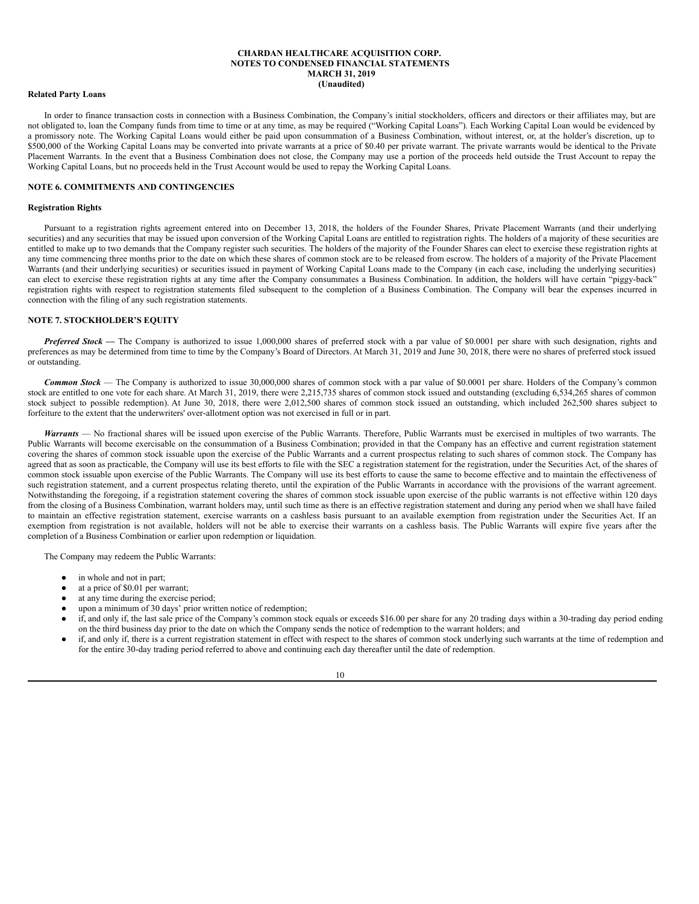#### **Related Party Loans**

In order to finance transaction costs in connection with a Business Combination, the Company's initial stockholders, officers and directors or their affiliates may, but are not obligated to, loan the Company funds from time to time or at any time, as may be required ("Working Capital Loans"). Each Working Capital Loan would be evidenced by a promissory note. The Working Capital Loans would either be paid upon consummation of a Business Combination, without interest, or, at the holder's discretion, up to \$500,000 of the Working Capital Loans may be converted into private warrants at a price of \$0.40 per private warrant. The private warrants would be identical to the Private Placement Warrants. In the event that a Business Combination does not close, the Company may use a portion of the proceeds held outside the Trust Account to repay the Working Capital Loans, but no proceeds held in the Trust Account would be used to repay the Working Capital Loans.

## **NOTE 6. COMMITMENTS AND CONTINGENCIES**

### **Registration Rights**

Pursuant to a registration rights agreement entered into on December 13, 2018, the holders of the Founder Shares, Private Placement Warrants (and their underlying securities) and any securities that may be issued upon conversion of the Working Capital Loans are entitled to registration rights. The holders of a majority of these securities are entitled to make up to two demands that the Company register such securities. The holders of the majority of the Founder Shares can elect to exercise these registration rights at any time commencing three months prior to the date on which these shares of common stock are to be released from escrow. The holders of a majority of the Private Placement Warrants (and their underlying securities) or securities issued in payment of Working Capital Loans made to the Company (in each case, including the underlying securities) can elect to exercise these registration rights at any time after the Company consummates a Business Combination. In addition, the holders will have certain "piggy-back" registration rights with respect to registration statements filed subsequent to the completion of a Business Combination. The Company will bear the expenses incurred in connection with the filing of any such registration statements.

## **NOTE 7. STOCKHOLDER'S EQUITY**

*Preferred Stock* — The Company is authorized to issue 1,000,000 shares of preferred stock with a par value of \$0.0001 per share with such designation, rights and preferences as may be determined from time to time by the Company's Board of Directors. At March 31, 2019 and June 30, 2018, there were no shares of preferred stock issued or outstanding.

*Common Stock* — The Company is authorized to issue 30,000,000 shares of common stock with a par value of \$0.0001 per share. Holders of the Company's common stock are entitled to one vote for each share. At March 31, 2019, there were 2,215,735 shares of common stock issued and outstanding (excluding 6,534,265 shares of common stock subject to possible redemption). At June 30, 2018, there were 2,012,500 shares of common stock issued an outstanding, which included 262,500 shares subject to forfeiture to the extent that the underwriters' over-allotment option was not exercised in full or in part.

*Warrants* — No fractional shares will be issued upon exercise of the Public Warrants. Therefore, Public Warrants must be exercised in multiples of two warrants. The Public Warrants will become exercisable on the consummation of a Business Combination; provided in that the Company has an effective and current registration statement covering the shares of common stock issuable upon the exercise of the Public Warrants and a current prospectus relating to such shares of common stock. The Company has agreed that as soon as practicable, the Company will use its best efforts to file with the SEC a registration statement for the registration, under the Securities Act, of the shares of common stock issuable upon exercise of the Public Warrants. The Company will use its best efforts to cause the same to become effective and to maintain the effectiveness of such registration statement, and a current prospectus relating thereto, until the expiration of the Public Warrants in accordance with the provisions of the warrant agreement. Notwithstanding the foregoing, if a registration statement covering the shares of common stock issuable upon exercise of the public warrants is not effective within 120 days from the closing of a Business Combination, warrant holders may, until such time as there is an effective registration statement and during any period when we shall have failed to maintain an effective registration statement, exercise warrants on a cashless basis pursuant to an available exemption from registration under the Securities Act. If an exemption from registration is not available, holders will not be able to exercise their warrants on a cashless basis. The Public Warrants will expire five years after the completion of a Business Combination or earlier upon redemption or liquidation.

The Company may redeem the Public Warrants:

- in whole and not in part;
- at a price of \$0.01 per warrant;
- at any time during the exercise period;
- upon a minimum of 30 days' prior written notice of redemption;
- if, and only if, the last sale price of the Company's common stock equals or exceeds \$16.00 per share for any 20 trading days within a 30-trading day period ending on the third business day prior to the date on which the Company sends the notice of redemption to the warrant holders; and
- if, and only if, there is a current registration statement in effect with respect to the shares of common stock underlying such warrants at the time of redemption and for the entire 30-day trading period referred to above and continuing each day thereafter until the date of redemption.

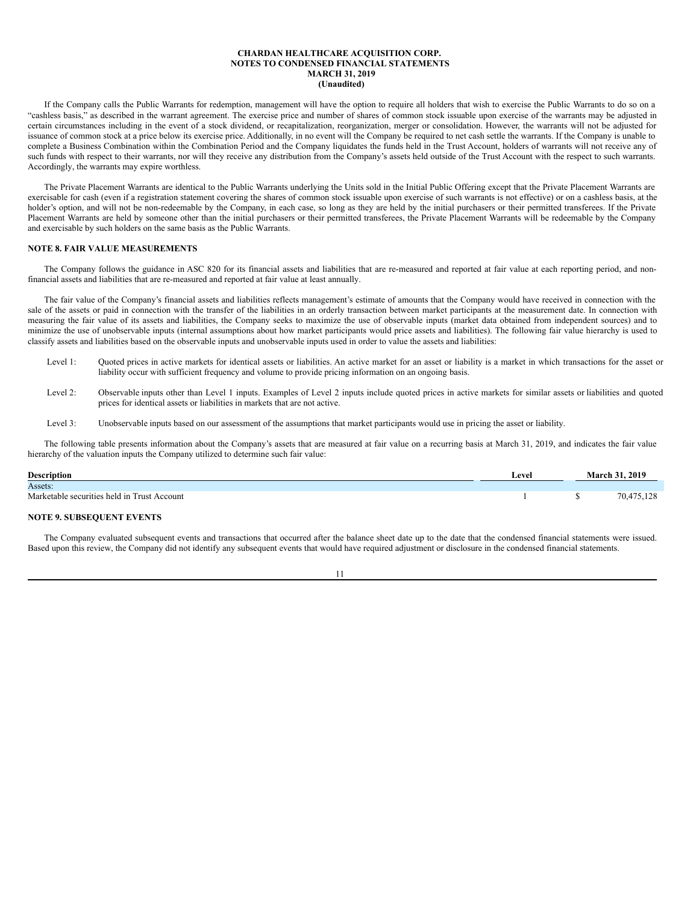If the Company calls the Public Warrants for redemption, management will have the option to require all holders that wish to exercise the Public Warrants to do so on a "cashless basis," as described in the warrant agreement. The exercise price and number of shares of common stock issuable upon exercise of the warrants may be adjusted in certain circumstances including in the event of a stock dividend, or recapitalization, reorganization, merger or consolidation. However, the warrants will not be adjusted for issuance of common stock at a price below its exercise price. Additionally, in no event will the Company be required to net cash settle the warrants. If the Company is unable to complete a Business Combination within the Combination Period and the Company liquidates the funds held in the Trust Account, holders of warrants will not receive any of such funds with respect to their warrants, nor will they receive any distribution from the Company's assets held outside of the Trust Account with the respect to such warrants. Accordingly, the warrants may expire worthless.

The Private Placement Warrants are identical to the Public Warrants underlying the Units sold in the Initial Public Offering except that the Private Placement Warrants are exercisable for cash (even if a registration statement covering the shares of common stock issuable upon exercise of such warrants is not effective) or on a cashless basis, at the holder's option, and will not be non-redeemable by the Company, in each case, so long as they are held by the initial purchasers or their permitted transferees. If the Private Placement Warrants are held by someone other than the initial purchasers or their permitted transferees, the Private Placement Warrants will be redeemable by the Company and exercisable by such holders on the same basis as the Public Warrants.

## **NOTE 8. FAIR VALUE MEASUREMENTS**

The Company follows the guidance in ASC 820 for its financial assets and liabilities that are re-measured and reported at fair value at each reporting period, and nonfinancial assets and liabilities that are re-measured and reported at fair value at least annually.

The fair value of the Company's financial assets and liabilities reflects management's estimate of amounts that the Company would have received in connection with the sale of the assets or paid in connection with the transfer of the liabilities in an orderly transaction between market participants at the measurement date. In connection with measuring the fair value of its assets and liabilities, the Company seeks to maximize the use of observable inputs (market data obtained from independent sources) and to minimize the use of unobservable inputs (internal assumptions about how market participants would price assets and liabilities). The following fair value hierarchy is used to classify assets and liabilities based on the observable inputs and unobservable inputs used in order to value the assets and liabilities:

- Level 1: Quoted prices in active markets for identical assets or liabilities. An active market for an asset or liability is a market in which transactions for the asset or liability occur with sufficient frequency and volume to provide pricing information on an ongoing basis.
- Level 2: Observable inputs other than Level 1 inputs. Examples of Level 2 inputs include quoted prices in active markets for similar assets or liabilities and quoted prices for identical assets or liabilities in markets that are not active.
- Level 3: Unobservable inputs based on our assessment of the assumptions that market participants would use in pricing the asset or liability.

The following table presents information about the Company's assets that are measured at fair value on a recurring basis at March 31, 2019, and indicates the fair value hierarchy of the valuation inputs the Company utilized to determine such fair value:

| <b>Description</b>                          | Level | <b>March 31, 2019</b> |
|---------------------------------------------|-------|-----------------------|
| Assets:                                     |       |                       |
| Marketable securities held in Trust Account |       | 70,475,128            |

### **NOTE 9. SUBSEQUENT EVENTS**

The Company evaluated subsequent events and transactions that occurred after the balance sheet date up to the date that the condensed financial statements were issued. Based upon this review, the Company did not identify any subsequent events that would have required adjustment or disclosure in the condensed financial statements.

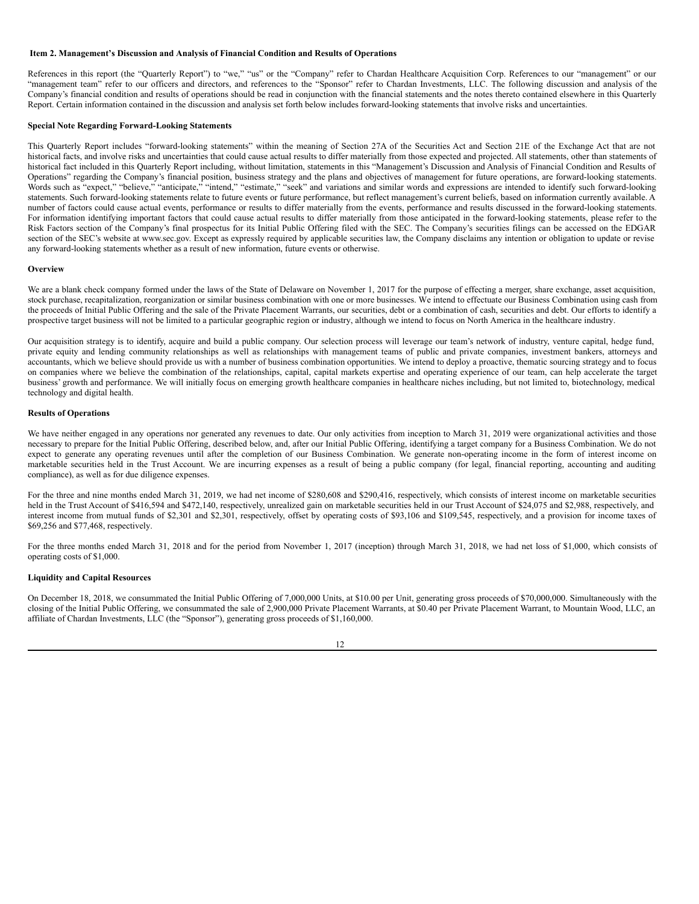### <span id="page-13-0"></span>**Item 2. Management's Discussion and Analysis of Financial Condition and Results of Operations**

References in this report (the "Quarterly Report") to "we," "us" or the "Company" refer to Chardan Healthcare Acquisition Corp. References to our "management" or our "management team" refer to our officers and directors, and references to the "Sponsor" refer to Chardan Investments, LLC. The following discussion and analysis of the Company's financial condition and results of operations should be read in conjunction with the financial statements and the notes thereto contained elsewhere in this Quarterly Report. Certain information contained in the discussion and analysis set forth below includes forward-looking statements that involve risks and uncertainties.

#### **Special Note Regarding Forward-Looking Statements**

This Quarterly Report includes "forward-looking statements" within the meaning of Section 27A of the Securities Act and Section 21E of the Exchange Act that are not historical facts, and involve risks and uncertainties that could cause actual results to differ materially from those expected and projected. All statements, other than statements of historical fact included in this Quarterly Report including, without limitation, statements in this "Management's Discussion and Analysis of Financial Condition and Results of Operations" regarding the Company's financial position, business strategy and the plans and objectives of management for future operations, are forward-looking statements. Words such as "expect," "believe," "anticipate," "intend," "estimate," "seek" and variations and similar words and expressions are intended to identify such forward-looking statements. Such forward-looking statements relate to future events or future performance, but reflect management's current beliefs, based on information currently available. A number of factors could cause actual events, performance or results to differ materially from the events, performance and results discussed in the forward-looking statements. For information identifying important factors that could cause actual results to differ materially from those anticipated in the forward-looking statements, please refer to the Risk Factors section of the Company's final prospectus for its Initial Public Offering filed with the SEC. The Company's securities filings can be accessed on the EDGAR section of the SEC's website at www.sec.gov. Except as expressly required by applicable securities law, the Company disclaims any intention or obligation to update or revise any forward-looking statements whether as a result of new information, future events or otherwise.

#### **Overview**

We are a blank check company formed under the laws of the State of Delaware on November 1, 2017 for the purpose of effecting a merger, share exchange, asset acquisition, stock purchase, recapitalization, reorganization or similar business combination with one or more businesses. We intend to effectuate our Business Combination using cash from the proceeds of Initial Public Offering and the sale of the Private Placement Warrants, our securities, debt or a combination of cash, securities and debt. Our efforts to identify a prospective target business will not be limited to a particular geographic region or industry, although we intend to focus on North America in the healthcare industry.

Our acquisition strategy is to identify, acquire and build a public company. Our selection process will leverage our team's network of industry, venture capital, hedge fund, private equity and lending community relationships as well as relationships with management teams of public and private companies, investment bankers, attorneys and accountants, which we believe should provide us with a number of business combination opportunities. We intend to deploy a proactive, thematic sourcing strategy and to focus on companies where we believe the combination of the relationships, capital, capital markets expertise and operating experience of our team, can help accelerate the target business' growth and performance. We will initially focus on emerging growth healthcare companies in healthcare niches including, but not limited to, biotechnology, medical technology and digital health.

### **Results of Operations**

We have neither engaged in any operations nor generated any revenues to date. Our only activities from inception to March 31, 2019 were organizational activities and those necessary to prepare for the Initial Public Offering, described below, and, after our Initial Public Offering, identifying a target company for a Business Combination. We do not expect to generate any operating revenues until after the completion of our Business Combination. We generate non-operating income in the form of interest income on marketable securities held in the Trust Account. We are incurring expenses as a result of being a public company (for legal, financial reporting, accounting and auditing compliance), as well as for due diligence expenses.

For the three and nine months ended March 31, 2019, we had net income of \$280,608 and \$290,416, respectively, which consists of interest income on marketable securities held in the Trust Account of \$416,594 and \$472,140, respectively, unrealized gain on marketable securities held in our Trust Account of \$24,075 and \$2,988, respectively, and interest income from mutual funds of \$2,301 and \$2,301, respectively, offset by operating costs of \$93,106 and \$109,545, respectively, and a provision for income taxes of \$69,256 and \$77,468, respectively.

For the three months ended March 31, 2018 and for the period from November 1, 2017 (inception) through March 31, 2018, we had net loss of \$1,000, which consists of operating costs of \$1,000.

#### **Liquidity and Capital Resources**

On December 18, 2018, we consummated the Initial Public Offering of 7,000,000 Units, at \$10.00 per Unit, generating gross proceeds of \$70,000,000. Simultaneously with the closing of the Initial Public Offering, we consummated the sale of 2,900,000 Private Placement Warrants, at \$0.40 per Private Placement Warrant, to Mountain Wood, LLC, an affiliate of Chardan Investments, LLC (the "Sponsor"), generating gross proceeds of \$1,160,000.

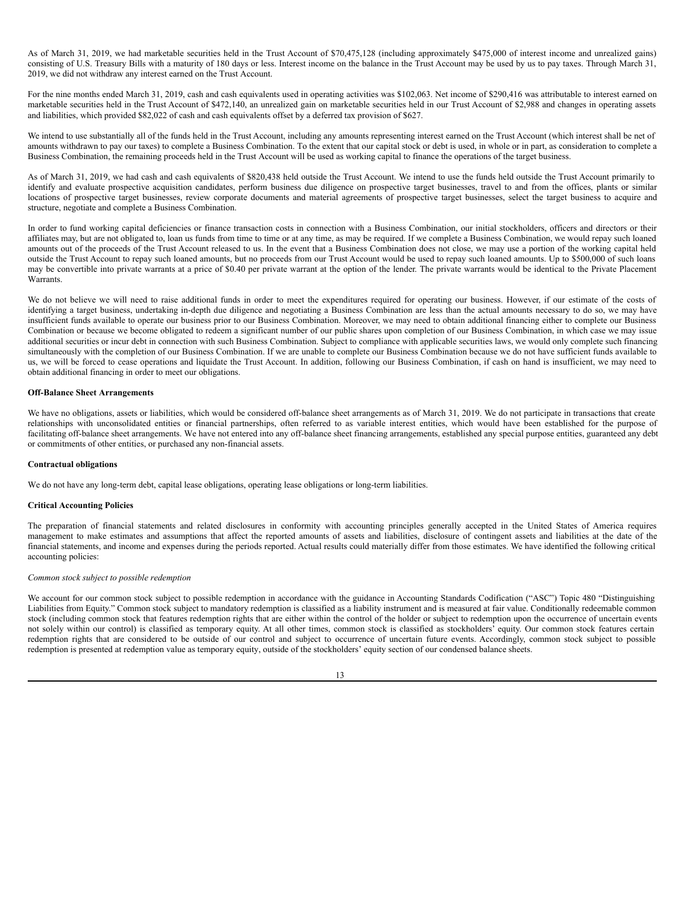As of March 31, 2019, we had marketable securities held in the Trust Account of \$70,475,128 (including approximately \$475,000 of interest income and unrealized gains) consisting of U.S. Treasury Bills with a maturity of 180 days or less. Interest income on the balance in the Trust Account may be used by us to pay taxes. Through March 31, 2019, we did not withdraw any interest earned on the Trust Account.

For the nine months ended March 31, 2019, cash and cash equivalents used in operating activities was \$102,063. Net income of \$290,416 was attributable to interest earned on marketable securities held in the Trust Account of \$472,140, an unrealized gain on marketable securities held in our Trust Account of \$2,988 and changes in operating assets and liabilities, which provided \$82,022 of cash and cash equivalents offset by a deferred tax provision of \$627.

We intend to use substantially all of the funds held in the Trust Account, including any amounts representing interest earned on the Trust Account (which interest shall be net of amounts withdrawn to pay our taxes) to complete a Business Combination. To the extent that our capital stock or debt is used, in whole or in part, as consideration to complete a Business Combination, the remaining proceeds held in the Trust Account will be used as working capital to finance the operations of the target business.

As of March 31, 2019, we had cash and cash equivalents of \$820,438 held outside the Trust Account. We intend to use the funds held outside the Trust Account primarily to identify and evaluate prospective acquisition candidates, perform business due diligence on prospective target businesses, travel to and from the offices, plants or similar locations of prospective target businesses, review corporate documents and material agreements of prospective target businesses, select the target business to acquire and structure, negotiate and complete a Business Combination.

In order to fund working capital deficiencies or finance transaction costs in connection with a Business Combination, our initial stockholders, officers and directors or their affiliates may, but are not obligated to, loan us funds from time to time or at any time, as may be required. If we complete a Business Combination, we would repay such loaned amounts out of the proceeds of the Trust Account released to us. In the event that a Business Combination does not close, we may use a portion of the working capital held outside the Trust Account to repay such loaned amounts, but no proceeds from our Trust Account would be used to repay such loaned amounts. Up to \$500,000 of such loans may be convertible into private warrants at a price of \$0.40 per private warrant at the option of the lender. The private warrants would be identical to the Private Placement Warrants.

We do not believe we will need to raise additional funds in order to meet the expenditures required for operating our business. However, if our estimate of the costs of identifying a target business, undertaking in-depth due diligence and negotiating a Business Combination are less than the actual amounts necessary to do so, we may have insufficient funds available to operate our business prior to our Business Combination. Moreover, we may need to obtain additional financing either to complete our Business Combination or because we become obligated to redeem a significant number of our public shares upon completion of our Business Combination, in which case we may issue additional securities or incur debt in connection with such Business Combination. Subject to compliance with applicable securities laws, we would only complete such financing simultaneously with the completion of our Business Combination. If we are unable to complete our Business Combination because we do not have sufficient funds available to us, we will be forced to cease operations and liquidate the Trust Account. In addition, following our Business Combination, if cash on hand is insufficient, we may need to obtain additional financing in order to meet our obligations.

#### **Off-Balance Sheet Arrangements**

We have no obligations, assets or liabilities, which would be considered off-balance sheet arrangements as of March 31, 2019. We do not participate in transactions that create relationships with unconsolidated entities or financial partnerships, often referred to as variable interest entities, which would have been established for the purpose of facilitating off-balance sheet arrangements. We have not entered into any off-balance sheet financing arrangements, established any special purpose entities, guaranteed any debt or commitments of other entities, or purchased any non-financial assets.

## **Contractual obligations**

We do not have any long-term debt, capital lease obligations, operating lease obligations or long-term liabilities.

### **Critical Accounting Policies**

The preparation of financial statements and related disclosures in conformity with accounting principles generally accepted in the United States of America requires management to make estimates and assumptions that affect the reported amounts of assets and liabilities, disclosure of contingent assets and liabilities at the date of the financial statements, and income and expenses during the periods reported. Actual results could materially differ from those estimates. We have identified the following critical accounting policies:

#### *Common stock subject to possible redemption*

We account for our common stock subject to possible redemption in accordance with the guidance in Accounting Standards Codification ("ASC") Topic 480 "Distinguishing Liabilities from Equity." Common stock subject to mandatory redemption is classified as a liability instrument and is measured at fair value. Conditionally redeemable common stock (including common stock that features redemption rights that are either within the control of the holder or subject to redemption upon the occurrence of uncertain events not solely within our control) is classified as temporary equity. At all other times, common stock is classified as stockholders' equity. Our common stock features certain redemption rights that are considered to be outside of our control and subject to occurrence of uncertain future events. Accordingly, common stock subject to possible redemption is presented at redemption value as temporary equity, outside of the stockholders' equity section of our condensed balance sheets.

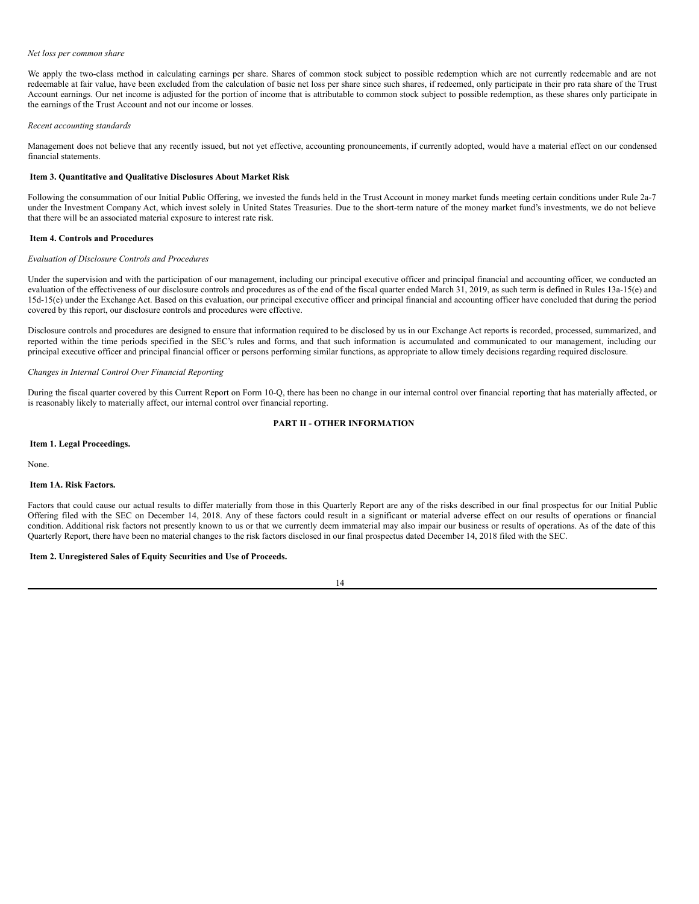#### *Net loss per common share*

We apply the two-class method in calculating earnings per share. Shares of common stock subject to possible redemption which are not currently redeemable and are not redeemable at fair value, have been excluded from the calculation of basic net loss per share since such shares, if redeemed, only participate in their pro rata share of the Trust Account earnings. Our net income is adjusted for the portion of income that is attributable to common stock subject to possible redemption, as these shares only participate in the earnings of the Trust Account and not our income or losses.

#### *Recent accounting standards*

Management does not believe that any recently issued, but not yet effective, accounting pronouncements, if currently adopted, would have a material effect on our condensed financial statements.

## <span id="page-15-0"></span>**Item 3. Quantitative and Qualitative Disclosures About Market Risk**

Following the consummation of our Initial Public Offering, we invested the funds held in the Trust Account in money market funds meeting certain conditions under Rule 2a-7 under the Investment Company Act, which invest solely in United States Treasuries. Due to the short-term nature of the money market fund's investments, we do not believe that there will be an associated material exposure to interest rate risk.

## <span id="page-15-1"></span>**Item 4. Controls and Procedures**

## *Evaluation of Disclosure Controls and Procedures*

Under the supervision and with the participation of our management, including our principal executive officer and principal financial and accounting officer, we conducted an evaluation of the effectiveness of our disclosure controls and procedures as of the end of the fiscal quarter ended March 31, 2019, as such term is defined in Rules 13a-15(e) and 15d-15(e) under the Exchange Act. Based on this evaluation, our principal executive officer and principal financial and accounting officer have concluded that during the period covered by this report, our disclosure controls and procedures were effective.

Disclosure controls and procedures are designed to ensure that information required to be disclosed by us in our Exchange Act reports is recorded, processed, summarized, and reported within the time periods specified in the SEC's rules and forms, and that such information is accumulated and communicated to our management, including our principal executive officer and principal financial officer or persons performing similar functions, as appropriate to allow timely decisions regarding required disclosure.

### *Changes in Internal Control Over Financial Reporting*

During the fiscal quarter covered by this Current Report on Form 10-Q, there has been no change in our internal control over financial reporting that has materially affected, or is reasonably likely to materially affect, our internal control over financial reporting.

## <span id="page-15-2"></span>**PART II - OTHER INFORMATION**

## <span id="page-15-3"></span>**Item 1. Legal Proceedings.**

None.

### <span id="page-15-4"></span>**Item 1A. Risk Factors.**

Factors that could cause our actual results to differ materially from those in this Quarterly Report are any of the risks described in our final prospectus for our Initial Public Offering filed with the SEC on December 14, 2018. Any of these factors could result in a significant or material adverse effect on our results of operations or financial condition. Additional risk factors not presently known to us or that we currently deem immaterial may also impair our business or results of operations. As of the date of this Quarterly Report, there have been no material changes to the risk factors disclosed in our final prospectus dated December 14, 2018 filed with the SEC.

### <span id="page-15-5"></span>**Item 2. Unregistered Sales of Equity Securities and Use of Proceeds.**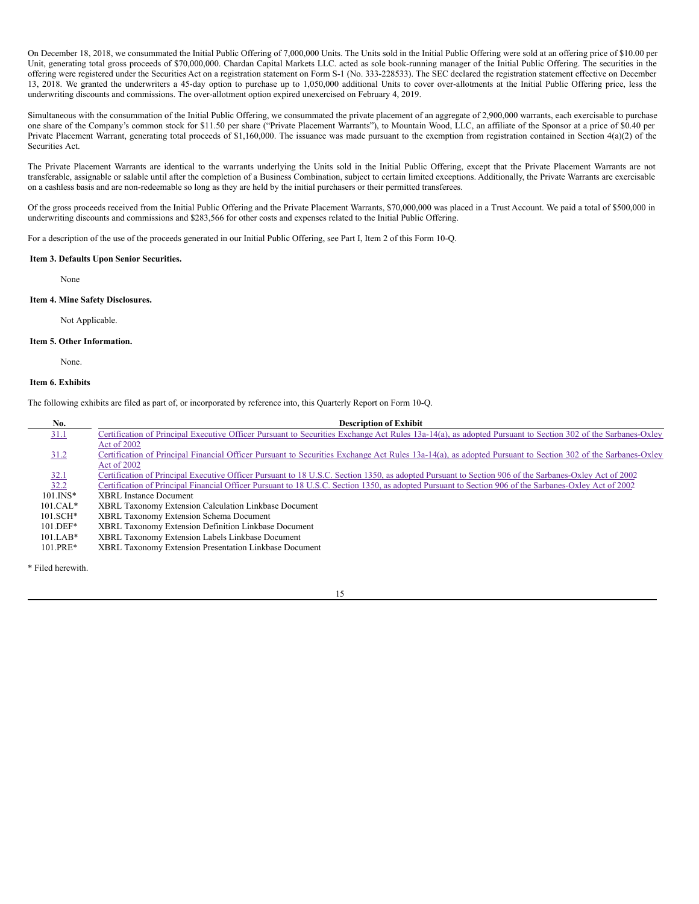On December 18, 2018, we consummated the Initial Public Offering of 7,000,000 Units. The Units sold in the Initial Public Offering were sold at an offering price of \$10.00 per Unit, generating total gross proceeds of \$70,000,000. Chardan Capital Markets LLC. acted as sole book-running manager of the Initial Public Offering. The securities in the offering were registered under the Securities Act on a registration statement on Form S-1 (No. 333-228533). The SEC declared the registration statement effective on December 13, 2018. We granted the underwriters a 45-day option to purchase up to 1,050,000 additional Units to cover over-allotments at the Initial Public Offering price, less the underwriting discounts and commissions. The over-allotment option expired unexercised on February 4, 2019.

Simultaneous with the consummation of the Initial Public Offering, we consummated the private placement of an aggregate of 2,900,000 warrants, each exercisable to purchase one share of the Company's common stock for \$11.50 per share ("Private Placement Warrants"), to Mountain Wood, LLC, an affiliate of the Sponsor at a price of \$0.40 per Private Placement Warrant, generating total proceeds of \$1,160,000. The issuance was made pursuant to the exemption from registration contained in Section 4(a)(2) of the Securities Act.

The Private Placement Warrants are identical to the warrants underlying the Units sold in the Initial Public Offering, except that the Private Placement Warrants are not transferable, assignable or salable until after the completion of a Business Combination, subject to certain limited exceptions. Additionally, the Private Warrants are exercisable on a cashless basis and are non-redeemable so long as they are held by the initial purchasers or their permitted transferees.

Of the gross proceeds received from the Initial Public Offering and the Private Placement Warrants, \$70,000,000 was placed in a Trust Account. We paid a total of \$500,000 in underwriting discounts and commissions and \$283,566 for other costs and expenses related to the Initial Public Offering.

For a description of the use of the proceeds generated in our Initial Public Offering, see Part I, Item 2 of this Form 10-Q.

### <span id="page-16-0"></span>**Item 3. Defaults Upon Senior Securities.**

None

### <span id="page-16-1"></span>**Item 4. Mine Safety Disclosures.**

Not Applicable.

### <span id="page-16-2"></span>**Item 5. Other Information.**

None.

## <span id="page-16-3"></span>**Item 6. Exhibits**

The following exhibits are filed as part of, or incorporated by reference into, this Quarterly Report on Form 10-Q.

| No.          | <b>Description of Exhibit</b>                                                                                                                              |
|--------------|------------------------------------------------------------------------------------------------------------------------------------------------------------|
| 31.1         | Certification of Principal Executive Officer Pursuant to Securities Exchange Act Rules 13a-14(a), as adopted Pursuant to Section 302 of the Sarbanes-Oxley |
|              | Act of 2002                                                                                                                                                |
| 31.2         | Certification of Principal Financial Officer Pursuant to Securities Exchange Act Rules 13a-14(a), as adopted Pursuant to Section 302 of the Sarbanes-Oxley |
|              | Act of 2002                                                                                                                                                |
| <u>32.1</u>  | Certification of Principal Executive Officer Pursuant to 18 U.S.C. Section 1350, as adopted Pursuant to Section 906 of the Sarbanes-Oxley Act of 2002      |
| 32.2         | Certification of Principal Financial Officer Pursuant to 18 U.S.C. Section 1350, as adopted Pursuant to Section 906 of the Sarbanes-Oxley Act of 2002      |
| $101$ . INS* | <b>XBRL</b> Instance Document                                                                                                                              |
| $101.CAL*$   | XBRL Taxonomy Extension Calculation Linkbase Document                                                                                                      |
| $101.SCH*$   | XBRL Taxonomy Extension Schema Document                                                                                                                    |
| $101.DEF*$   | XBRL Taxonomy Extension Definition Linkbase Document                                                                                                       |
| $101.LAB*$   | XBRL Taxonomy Extension Labels Linkbase Document                                                                                                           |
| 101.PRE*     | XBRL Taxonomy Extension Presentation Linkbase Document                                                                                                     |

\* Filed herewith.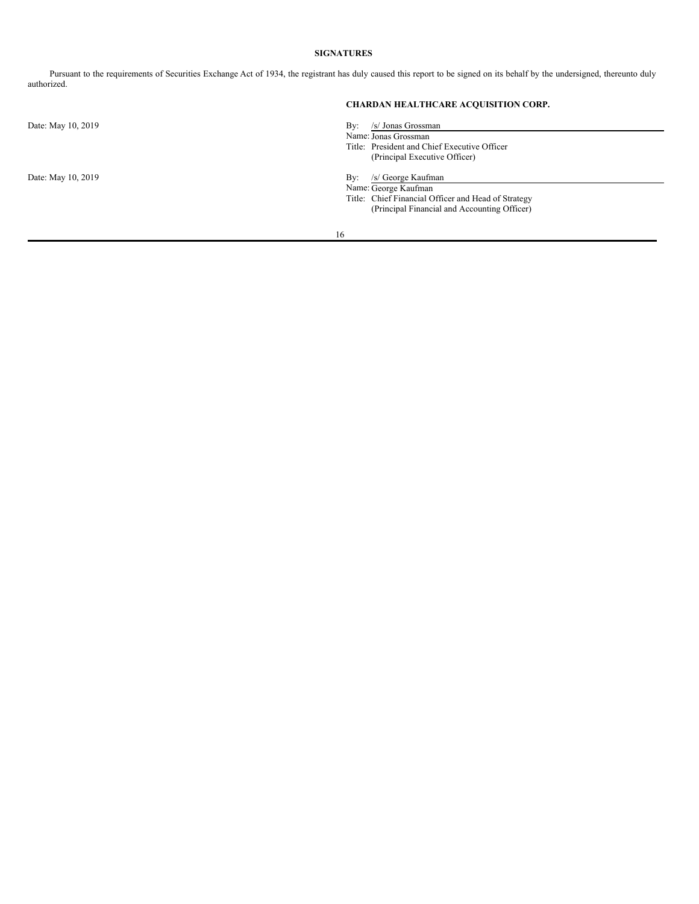# <span id="page-17-0"></span>**SIGNATURES**

Pursuant to the requirements of Securities Exchange Act of 1934, the registrant has duly caused this report to be signed on its behalf by the undersigned, thereunto duly authorized.

**CHARDAN HEALTHCARE ACQUISITION CORP.**

| Date: May 10, 2019 | /s/ Jonas Grossman<br>Bv:                           |
|--------------------|-----------------------------------------------------|
|                    | Name: Jonas Grossman                                |
|                    | Title: President and Chief Executive Officer        |
|                    | (Principal Executive Officer)                       |
| Date: May 10, 2019 | /s/ George Kaufman<br>Bv:                           |
|                    | Name: George Kaufman                                |
|                    | Title: Chief Financial Officer and Head of Strategy |
|                    | (Principal Financial and Accounting Officer)        |
|                    |                                                     |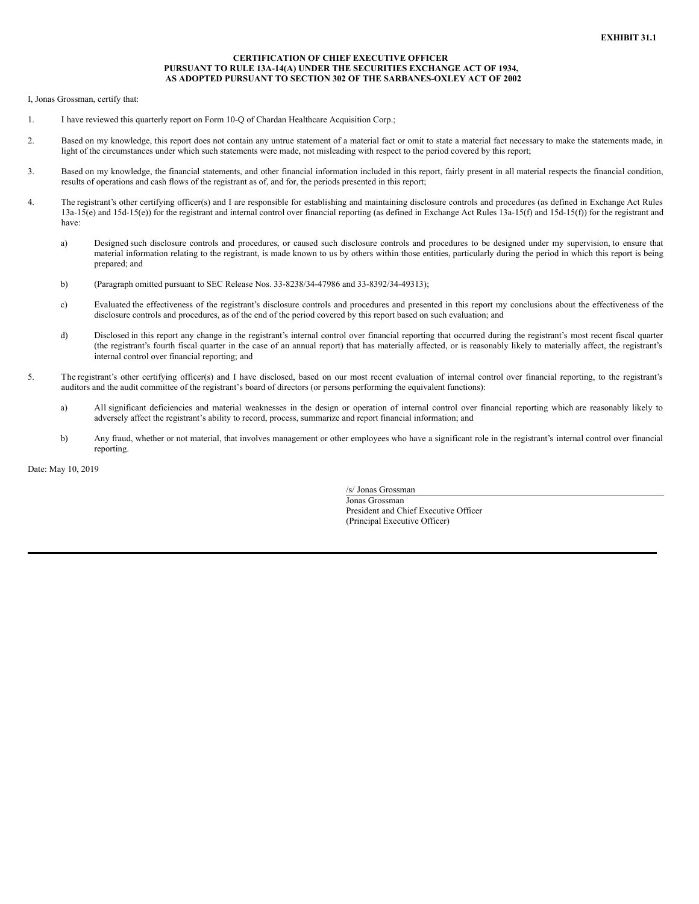### **CERTIFICATION OF CHIEF EXECUTIVE OFFICER PURSUANT TO RULE 13A-14(A) UNDER THE SECURITIES EXCHANGE ACT OF 1934, AS ADOPTED PURSUANT TO SECTION 302 OF THE SARBANES-OXLEY ACT OF 2002**

<span id="page-18-0"></span>I, Jonas Grossman, certify that:

- 1. I have reviewed this quarterly report on Form 10-Q of Chardan Healthcare Acquisition Corp.;
- 2. Based on my knowledge, this report does not contain any untrue statement of a material fact or omit to state a material fact necessary to make the statements made, in light of the circumstances under which such statements were made, not misleading with respect to the period covered by this report;
- 3. Based on my knowledge, the financial statements, and other financial information included in this report, fairly present in all material respects the financial condition, results of operations and cash flows of the registrant as of, and for, the periods presented in this report;
- 4. The registrant's other certifying officer(s) and I are responsible for establishing and maintaining disclosure controls and procedures (as defined in Exchange Act Rules 13a-15(e) and 15d-15(e)) for the registrant and internal control over financial reporting (as defined in Exchange Act Rules 13a-15(f) and 15d-15(f)) for the registrant and have:
	- a) Designed such disclosure controls and procedures, or caused such disclosure controls and procedures to be designed under my supervision, to ensure that material information relating to the registrant, is made known to us by others within those entities, particularly during the period in which this report is being prepared; and
	- b) (Paragraph omitted pursuant to SEC Release Nos. 33-8238/34-47986 and 33-8392/34-49313);
	- c) Evaluated the effectiveness of the registrant's disclosure controls and procedures and presented in this report my conclusions about the effectiveness of the disclosure controls and procedures, as of the end of the period covered by this report based on such evaluation; and
	- d) Disclosed in this report any change in the registrant's internal control over financial reporting that occurred during the registrant's most recent fiscal quarter (the registrant's fourth fiscal quarter in the case of an annual report) that has materially affected, or is reasonably likely to materially affect, the registrant's internal control over financial reporting; and
- 5. The registrant's other certifying officer(s) and I have disclosed, based on our most recent evaluation of internal control over financial reporting, to the registrant's auditors and the audit committee of the registrant's board of directors (or persons performing the equivalent functions):
	- a) All significant deficiencies and material weaknesses in the design or operation of internal control over financial reporting which are reasonably likely to adversely affect the registrant's ability to record, process, summarize and report financial information; and
	- b) Any fraud, whether or not material, that involves management or other employees who have a significant role in the registrant's internal control over financial reporting.

Date: May 10, 2019

/s/ Jonas Grossman Jonas Grossman President and Chief Executive Officer (Principal Executive Officer)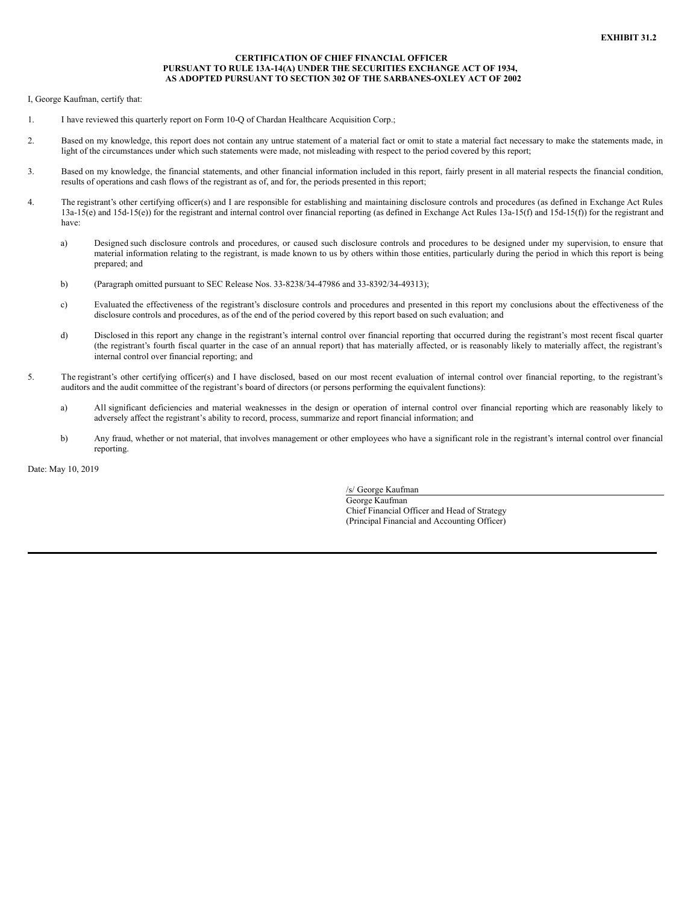### **CERTIFICATION OF CHIEF FINANCIAL OFFICER PURSUANT TO RULE 13A-14(A) UNDER THE SECURITIES EXCHANGE ACT OF 1934, AS ADOPTED PURSUANT TO SECTION 302 OF THE SARBANES-OXLEY ACT OF 2002**

<span id="page-19-0"></span>I, George Kaufman, certify that:

- 1. I have reviewed this quarterly report on Form 10-Q of Chardan Healthcare Acquisition Corp.;
- 2. Based on my knowledge, this report does not contain any untrue statement of a material fact or omit to state a material fact necessary to make the statements made, in light of the circumstances under which such statements were made, not misleading with respect to the period covered by this report;
- 3. Based on my knowledge, the financial statements, and other financial information included in this report, fairly present in all material respects the financial condition, results of operations and cash flows of the registrant as of, and for, the periods presented in this report;
- 4. The registrant's other certifying officer(s) and I are responsible for establishing and maintaining disclosure controls and procedures (as defined in Exchange Act Rules 13a-15(e) and 15d-15(e)) for the registrant and internal control over financial reporting (as defined in Exchange Act Rules 13a-15(f) and 15d-15(f)) for the registrant and have:
	- a) Designed such disclosure controls and procedures, or caused such disclosure controls and procedures to be designed under my supervision, to ensure that material information relating to the registrant, is made known to us by others within those entities, particularly during the period in which this report is being prepared; and
	- b) (Paragraph omitted pursuant to SEC Release Nos. 33-8238/34-47986 and 33-8392/34-49313);
	- c) Evaluated the effectiveness of the registrant's disclosure controls and procedures and presented in this report my conclusions about the effectiveness of the disclosure controls and procedures, as of the end of the period covered by this report based on such evaluation; and
	- d) Disclosed in this report any change in the registrant's internal control over financial reporting that occurred during the registrant's most recent fiscal quarter (the registrant's fourth fiscal quarter in the case of an annual report) that has materially affected, or is reasonably likely to materially affect, the registrant's internal control over financial reporting; and
- 5. The registrant's other certifying officer(s) and I have disclosed, based on our most recent evaluation of internal control over financial reporting, to the registrant's auditors and the audit committee of the registrant's board of directors (or persons performing the equivalent functions):
	- a) All significant deficiencies and material weaknesses in the design or operation of internal control over financial reporting which are reasonably likely to adversely affect the registrant's ability to record, process, summarize and report financial information; and
	- b) Any fraud, whether or not material, that involves management or other employees who have a significant role in the registrant's internal control over financial reporting.

Date: May 10, 2019

/s/ George Kaufman George Kaufman Chief Financial Officer and Head of Strategy (Principal Financial and Accounting Officer)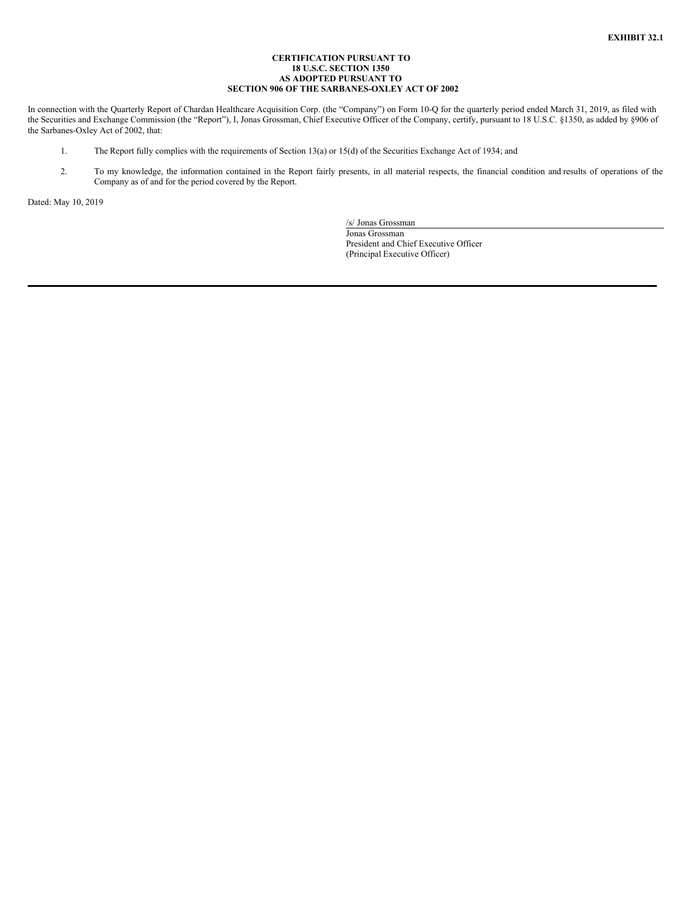## **CERTIFICATION PURSUANT TO 18 U.S.C. SECTION 1350 AS ADOPTED PURSUANT TO SECTION 906 OF THE SARBANES-OXLEY ACT OF 2002**

<span id="page-20-0"></span>In connection with the Quarterly Report of Chardan Healthcare Acquisition Corp. (the "Company") on Form 10-Q for the quarterly period ended March 31, 2019, as filed with the Securities and Exchange Commission (the "Report"), I, Jonas Grossman, Chief Executive Officer of the Company, certify, pursuant to 18 U.S.C. §1350, as added by §906 of the Sarbanes-Oxley Act of 2002, that:

- 1. The Report fully complies with the requirements of Section 13(a) or 15(d) of the Securities Exchange Act of 1934; and
- 2. To my knowledge, the information contained in the Report fairly presents, in all material respects, the financial condition and results of operations of the Company as of and for the period covered by the Report.

Dated: May 10, 2019

/s/ Jonas Grossman Jonas Grossman President and Chief Executive Officer (Principal Executive Officer)